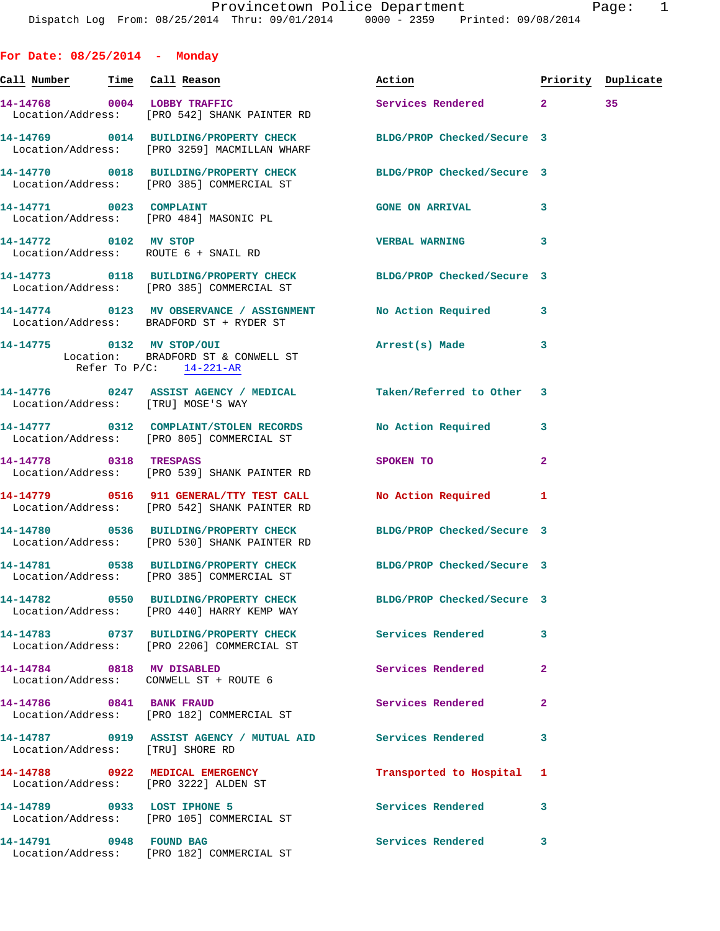| For Date: $08/25/2014$ - Monday |                                                                                                                  |                                                                                                                 |                |    |
|---------------------------------|------------------------------------------------------------------------------------------------------------------|-----------------------------------------------------------------------------------------------------------------|----------------|----|
|                                 | <u>Call Number — Time Call Reason</u>                                                                            | Action <b>Action Priority Duplicate</b>                                                                         |                |    |
|                                 | 14-14768 0004 LOBBY TRAFFIC<br>Location/Address: [PRO 542] SHANK PAINTER RD                                      | Services Rendered 2                                                                                             |                | 35 |
|                                 | 14-14769 0014 BUILDING/PROPERTY CHECK BLDG/PROP Checked/Secure 3<br>Location/Address: [PRO 3259] MACMILLAN WHARF |                                                                                                                 |                |    |
|                                 | 14-14770 0018 BUILDING/PROPERTY CHECK BLDG/PROP Checked/Secure 3<br>Location/Address: [PRO 385] COMMERCIAL ST    |                                                                                                                 |                |    |
|                                 | 14-14771 0023 COMPLAINT<br>Location/Address: [PRO 484] MASONIC PL                                                | GONE ON ARRIVAL 3                                                                                               |                |    |
|                                 | 14-14772 0102 MV STOP<br>Location/Address: ROUTE 6 + SNAIL RD                                                    | <b>VERBAL WARNING</b>                                                                                           | 3              |    |
|                                 | 14-14773 0118 BUILDING/PROPERTY CHECK BLDG/PROP Checked/Secure 3<br>Location/Address: [PRO 385] COMMERCIAL ST    |                                                                                                                 |                |    |
|                                 | 14-14774 0123 MV OBSERVANCE / ASSIGNMENT No Action Required 3<br>Location/Address: BRADFORD ST + RYDER ST        |                                                                                                                 |                |    |
|                                 | 14-14775 0132 MV STOP/OUI<br>Location: BRADFORD ST & CONWELL ST<br>Refer To $P/C$ : $14-221-AR$                  | Arrest(s) Made                                                                                                  | 3              |    |
|                                 | 14-14776 0247 ASSIST AGENCY / MEDICAL Taken/Referred to Other 3<br>Location/Address: [TRU] MOSE'S WAY            |                                                                                                                 |                |    |
|                                 | 14-14777 0312 COMPLAINT/STOLEN RECORDS No Action Required<br>Location/Address: [PRO 805] COMMERCIAL ST           |                                                                                                                 | 3              |    |
| 14-14778 0318 TRESPASS          | Location/Address: [PRO 539] SHANK PAINTER RD                                                                     | SPOKEN TO THE STRIKE STRIKE STRIKE STRIKE STRIKE STRIKE STRIKE STRIKE STRIKE STRIKE STRIKE STRIKE STRIKE STRIKE | $\mathbf{2}$   |    |
|                                 | 14-14779 0516 911 GENERAL/TTY TEST CALL No Action Required 1<br>Location/Address: [PRO 542] SHANK PAINTER RD     |                                                                                                                 |                |    |
|                                 | 14-14780 0536 BUILDING/PROPERTY CHECK BLDG/PROP Checked/Secure 3<br>Location/Address: [PRO 530] SHANK PAINTER RD |                                                                                                                 |                |    |
|                                 | 14-14781 0538 BUILDING/PROPERTY CHECK<br>Location/Address: [PRO 385] COMMERCIAL ST                               | BLDG/PROP Checked/Secure 3                                                                                      |                |    |
|                                 | 14-14782 0550 BUILDING/PROPERTY CHECK<br>Location/Address: [PRO 440] HARRY KEMP WAY                              | BLDG/PROP Checked/Secure 3                                                                                      |                |    |
|                                 | 14-14783 0737 BUILDING/PROPERTY CHECK<br>Location/Address: [PRO 2206] COMMERCIAL ST                              | <b>Services Rendered</b>                                                                                        | 3              |    |
| 14-14784 0818 MV DISABLED       | Location/Address: CONWELL ST + ROUTE 6                                                                           | Services Rendered                                                                                               | $\overline{2}$ |    |
|                                 | 14-14786 0841 BANK FRAUD<br>Location/Address: [PRO 182] COMMERCIAL ST                                            | Services Rendered                                                                                               | $\mathbf{2}$   |    |
|                                 | Location/Address: [TRU] SHORE RD                                                                                 |                                                                                                                 | 3              |    |
|                                 | 14-14788 0922 MEDICAL EMERGENCY<br>Location/Address: [PRO 3222] ALDEN ST                                         | Transported to Hospital 1                                                                                       |                |    |
| 14-14789 0933 LOST IPHONE 5     | Location/Address: [PRO 105] COMMERCIAL ST                                                                        | Services Rendered                                                                                               | 3              |    |
| 14-14791 0948 FOUND BAG         |                                                                                                                  | Services Rendered 3                                                                                             |                |    |

Location/Address: [PRO 182] COMMERCIAL ST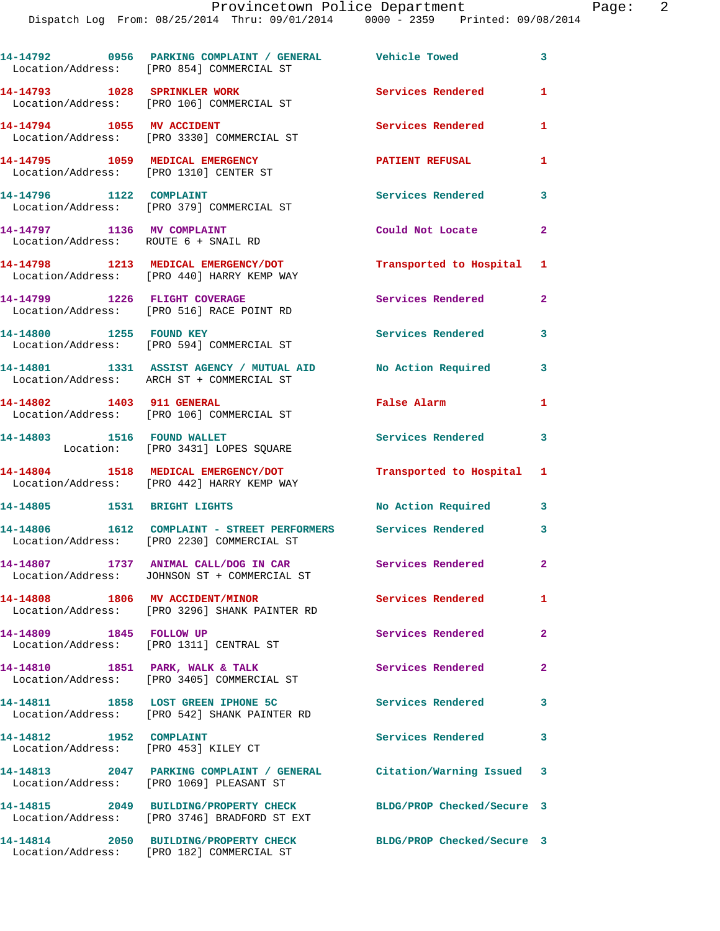|                                                                           | Location/Address: [PRO 854] COMMERCIAL ST                                                          |                            | $\mathbf{3}$   |
|---------------------------------------------------------------------------|----------------------------------------------------------------------------------------------------|----------------------------|----------------|
| 14-14793 1028 SPRINKLER WORK                                              | Location/Address: [PRO 106] COMMERCIAL ST                                                          | Services Rendered          | $\mathbf{1}$   |
| 14-14794 1055 MV ACCIDENT                                                 | Location/Address: [PRO 3330] COMMERCIAL ST                                                         | Services Rendered          | 1              |
| 14-14795 1059 MEDICAL EMERGENCY<br>Location/Address: [PRO 1310] CENTER ST |                                                                                                    | <b>PATIENT REFUSAL</b>     | 1              |
|                                                                           | Location/Address: [PRO 379] COMMERCIAL ST                                                          | <b>Services Rendered</b>   | 3              |
| 14-14797 1136 MV COMPLAINT<br>Location/Address: ROUTE 6 + SNAIL RD        |                                                                                                    | Could Not Locate           | $\mathbf{2}$   |
|                                                                           | 14-14798 1213 MEDICAL EMERGENCY/DOT<br>Location/Address: [PRO 440] HARRY KEMP WAY                  | Transported to Hospital 1  |                |
| 14-14799 1226 FLIGHT COVERAGE                                             | Location/Address: [PRO 516] RACE POINT RD                                                          | Services Rendered          | $\overline{2}$ |
| 14-14800 1255 FOUND KEY                                                   | Location/Address: [PRO 594] COMMERCIAL ST                                                          | <b>Services Rendered</b>   | 3              |
|                                                                           | 14-14801 1331 ASSIST AGENCY / MUTUAL AID<br>Location/Address: ARCH ST + COMMERCIAL ST              | No Action Required         | 3              |
| 14-14802 1403 911 GENERAL                                                 | Location/Address: [PRO 106] COMMERCIAL ST                                                          | False Alarm                | $\mathbf{1}$   |
|                                                                           | 14-14803 1516 FOUND WALLET<br>Location: [PRO 3431] LOPES SQUARE                                    | Services Rendered          | 3              |
|                                                                           | 14-14804 1518 MEDICAL EMERGENCY/DOT<br>Location/Address: [PRO 442] HARRY KEMP WAY                  | Transported to Hospital 1  |                |
| 14-14805 1531 BRIGHT LIGHTS                                               |                                                                                                    | No Action Required         | $\mathbf{3}$   |
| 14-14806                                                                  | 1612 COMPLAINT - STREET PERFORMERS Services Rendered<br>Location/Address: [PRO 2230] COMMERCIAL ST |                            | 3              |
| 14-14807                                                                  | 1737 ANIMAL CALL/DOG IN CAR<br>Location/Address: JOHNSON ST + COMMERCIAL ST                        | Services Rendered          | 2              |
|                                                                           | 14-14808 1806 MV ACCIDENT/MINOR<br>Location/Address: [PRO 3296] SHANK PAINTER RD                   | Services Rendered          | $\mathbf{1}$   |
| 14-14809 1845 FOLLOW UP                                                   | Location/Address: [PRO 1311] CENTRAL ST                                                            | Services Rendered 2        |                |
|                                                                           | 14-14810 1851 PARK, WALK & TALK<br>Location/Address: [PRO 3405] COMMERCIAL ST                      | Services Rendered          | $\overline{2}$ |
|                                                                           | 14-14811 1858 LOST GREEN IPHONE 5C<br>Location/Address: [PRO 542] SHANK PAINTER RD                 | <b>Services Rendered</b>   | 3              |
| 14-14812    1952    COMPLAINT<br>Location/Address: [PRO 453] KILEY CT     |                                                                                                    | Services Rendered          | 3              |
|                                                                           | 14-14813 2047 PARKING COMPLAINT / GENERAL<br>Location/Address: [PRO 1069] PLEASANT ST              | Citation/Warning Issued 3  |                |
|                                                                           | 14-14815 2049 BUILDING/PROPERTY CHECK<br>Location/Address: [PRO 3746] BRADFORD ST EXT              | BLDG/PROP Checked/Secure 3 |                |
|                                                                           | 14-14814 2050 BUILDING/PROPERTY CHECK<br>Location/Address: [PRO 182] COMMERCIAL ST                 | BLDG/PROP Checked/Secure 3 |                |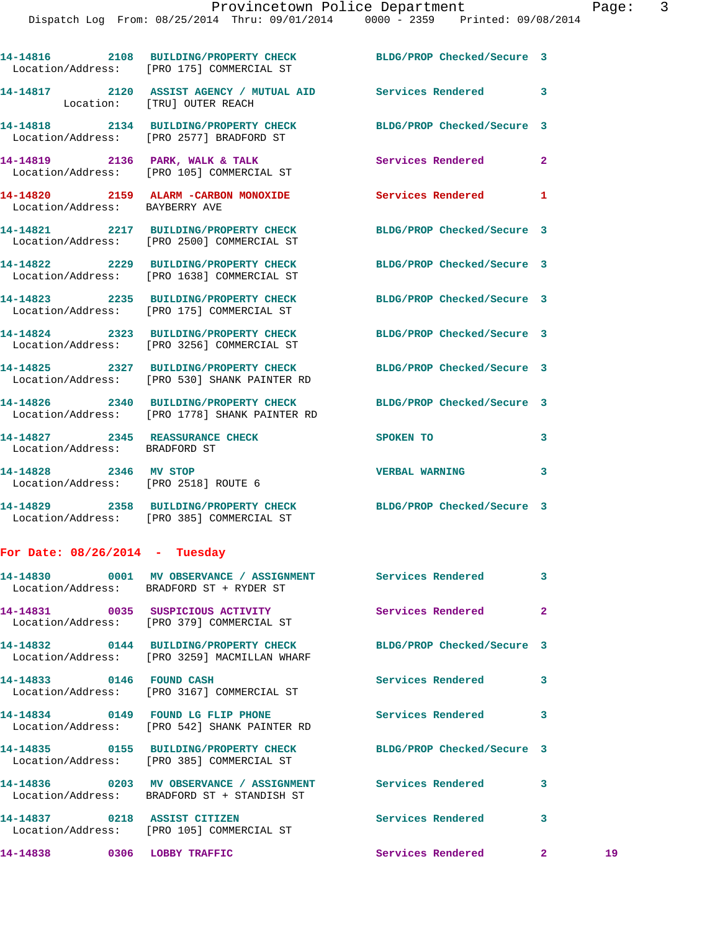|                                                               | 14-14816 2108 BUILDING/PROPERTY CHECK<br>Location/Address: [PRO 175] COMMERCIAL ST              | BLDG/PROP Checked/Secure 3 |                |
|---------------------------------------------------------------|-------------------------------------------------------------------------------------------------|----------------------------|----------------|
|                                                               | 14-14817 2120 ASSIST AGENCY / MUTUAL AID Services Rendered 3<br>Location: [TRU] OUTER REACH     |                            |                |
|                                                               | 14-14818 2134 BUILDING/PROPERTY CHECK<br>Location/Address: [PRO 2577] BRADFORD ST               | BLDG/PROP Checked/Secure 3 |                |
| 14-14819 2136 PARK, WALK & TALK                               | Location/Address: [PRO 105] COMMERCIAL ST                                                       | <b>Services Rendered</b>   | $\mathbf{2}$   |
| Location/Address: BAYBERRY AVE                                | 14-14820 2159 ALARM -CARBON MONOXIDE                                                            | Services Rendered 1        |                |
|                                                               | 14-14821 2217 BUILDING/PROPERTY CHECK<br>Location/Address: [PRO 2500] COMMERCIAL ST             | BLDG/PROP Checked/Secure 3 |                |
| 14-14822                                                      | 2229 BUILDING/PROPERTY CHECK<br>Location/Address: [PRO 1638] COMMERCIAL ST                      | BLDG/PROP Checked/Secure 3 |                |
|                                                               | 14-14823 2235 BUILDING/PROPERTY CHECK<br>Location/Address: [PRO 175] COMMERCIAL ST              | BLDG/PROP Checked/Secure 3 |                |
|                                                               | 14-14824 2323 BUILDING/PROPERTY CHECK<br>Location/Address: [PRO 3256] COMMERCIAL ST             | BLDG/PROP Checked/Secure 3 |                |
|                                                               | 14-14825 2327 BUILDING/PROPERTY CHECK<br>Location/Address: [PRO 530] SHANK PAINTER RD           | BLDG/PROP Checked/Secure 3 |                |
|                                                               | 14-14826 2340 BUILDING/PROPERTY CHECK<br>Location/Address: [PRO 1778] SHANK PAINTER RD          | BLDG/PROP Checked/Secure 3 |                |
| 14-14827<br>Location/Address: BRADFORD ST                     | 2345 REASSURANCE CHECK                                                                          | SPOKEN TO                  | 3              |
| 14-14828 2346 MV STOP<br>Location/Address: [PRO 2518] ROUTE 6 |                                                                                                 | <b>VERBAL WARNING</b>      | 3              |
|                                                               | 14-14829 2358 BUILDING/PROPERTY CHECK<br>Location/Address: [PRO 385] COMMERCIAL ST              | BLDG/PROP Checked/Secure 3 |                |
| For Date: $08/26/2014$ - Tuesday                              |                                                                                                 |                            |                |
| 14-14830                                                      | 0001 MV OBSERVANCE / ASSIGNMENT Services Rendered 3<br>Location/Address: BRADFORD ST + RYDER ST |                            |                |
| 14-14831 0035 SUSPICIOUS ACTIVITY                             |                                                                                                 | Services Rendered          | $\overline{a}$ |

 Location/Address: [PRO 379] COMMERCIAL ST **14-14832 0144 BUILDING/PROPERTY CHECK BLDG/PROP Checked/Secure 3**  Location/Address: [PRO 3259] MACMILLAN WHARF **14-14833 0146 FOUND CASH Services Rendered 3**  Location/Address: [PRO 3167] COMMERCIAL ST **14-14834 0149 FOUND LG FLIP PHONE Services Rendered 3**  Location/Address: [PRO 542] SHANK PAINTER RD **14-14835 0155 BUILDING/PROPERTY CHECK BLDG/PROP Checked/Secure 3**  Location/Address: [PRO 385] COMMERCIAL ST **14-14836 0203 MV OBSERVANCE / ASSIGNMENT Services Rendered 3**  Location/Address: BRADFORD ST + STANDISH ST **14-14837 0218 ASSIST CITIZEN Services Rendered 3**  Location/Address: [PRO 105] COMMERCIAL ST **14-14838 0306 LOBBY TRAFFIC Services Rendered 2 19**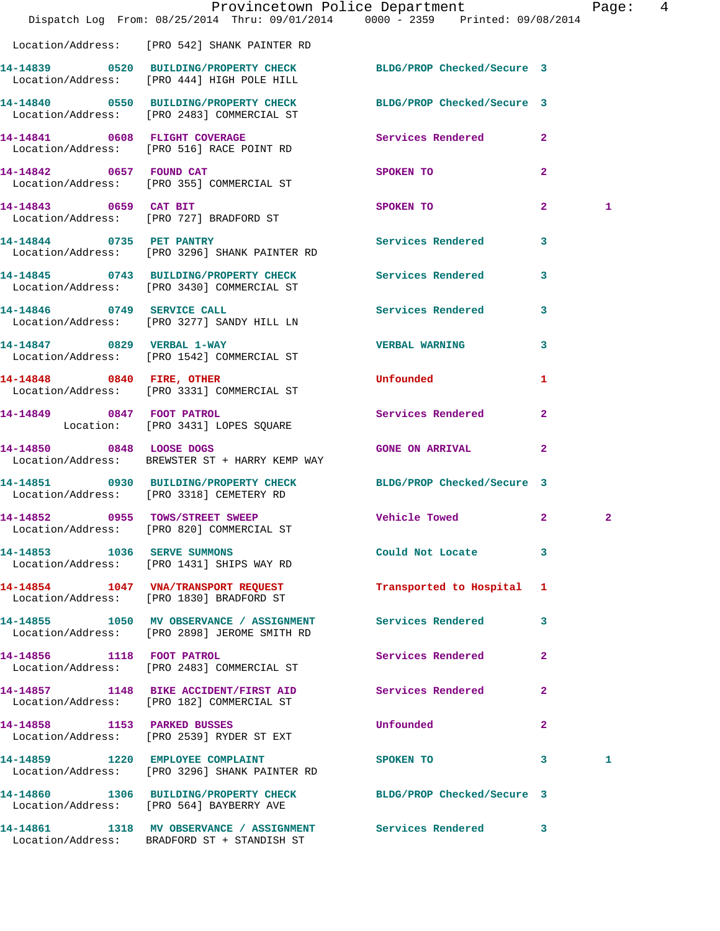|                             | Dispatch Log From: 08/25/2014 Thru: 09/01/2014 0000 - 2359 Printed: 09/08/2014                                 | Provincetown Police Department |                | Page:        | $\overline{4}$ |
|-----------------------------|----------------------------------------------------------------------------------------------------------------|--------------------------------|----------------|--------------|----------------|
|                             |                                                                                                                |                                |                |              |                |
|                             | Location/Address: [PRO 542] SHANK PAINTER RD                                                                   |                                |                |              |                |
|                             | 14-14839 0520 BUILDING/PROPERTY CHECK BLDG/PROP Checked/Secure 3<br>Location/Address: [PRO 444] HIGH POLE HILL |                                |                |              |                |
|                             | 14-14840 0550 BUILDING/PROPERTY CHECK<br>Location/Address: [PRO 2483] COMMERCIAL ST                            | BLDG/PROP Checked/Secure 3     |                |              |                |
|                             | 14-14841 0608 FLIGHT COVERAGE<br>Location/Address: [PRO 516] RACE POINT RD                                     | Services Rendered 2            |                |              |                |
|                             | 14-14842 0657 FOUND CAT<br>Location/Address: [PRO 355] COMMERCIAL ST                                           | SPOKEN TO                      | $\overline{2}$ |              |                |
| 14-14843 0659 CAT BIT       | Location/Address: [PRO 727] BRADFORD ST                                                                        | SPOKEN TO                      | $\mathbf{2}$   | 1            |                |
|                             | 14-14844 0735 PET PANTRY<br>Location/Address: [PRO 3296] SHANK PAINTER RD                                      | Services Rendered              | 3              |              |                |
|                             | 14-14845 0743 BUILDING/PROPERTY CHECK Services Rendered 3<br>Location/Address: [PRO 3430] COMMERCIAL ST        |                                |                |              |                |
|                             | 14-14846 0749 SERVICE CALL<br>Location/Address: [PRO 3277] SANDY HILL LN                                       | <b>Services Rendered</b>       | $\mathbf{3}$   |              |                |
|                             | 14-14847 0829 VERBAL 1-WAY<br>Location/Address: [PRO 1542] COMMERCIAL ST                                       | <b>VERBAL WARNING</b>          | 3              |              |                |
|                             | 14-14848 0840 FIRE, OTHER<br>Location/Address: [PRO 3331] COMMERCIAL ST                                        | Unfounded                      | 1              |              |                |
| 14-14849 0847 FOOT PATROL   | Location: [PRO 3431] LOPES SQUARE                                                                              | Services Rendered              | $\overline{a}$ |              |                |
|                             | 14-14850 0848 LOOSE DOGS<br>Location/Address: BREWSTER ST + HARRY KEMP WAY                                     | <b>GONE ON ARRIVAL</b>         | $\mathbf{2}$   |              |                |
|                             | 14-14851 0930 BUILDING/PROPERTY CHECK BLDG/PROP Checked/Secure 3<br>Location/Address: [PRO 3318] CEMETERY RD   |                                |                |              |                |
|                             | 14-14852 0955 TOWS/STREET SWEEP Vehicle Towed 2<br>Location/Address: [PRO 820] COMMERCIAL ST                   |                                |                | $\mathbf{2}$ |                |
| 14-14853 1036 SERVE SUMMONS | Location/Address: [PRO 1431] SHIPS WAY RD                                                                      | Could Not Locate 3             |                |              |                |
|                             | 14-14854 1047 VNA/TRANSPORT REQUEST<br>Location/Address: [PRO 1830] BRADFORD ST                                | Transported to Hospital 1      |                |              |                |
|                             | 14-14855 1050 MV OBSERVANCE / ASSIGNMENT Services Rendered 3<br>Location/Address: [PRO 2898] JEROME SMITH RD   |                                |                |              |                |
|                             | 14-14856 1118 FOOT PATROL<br>Location/Address: [PRO 2483] COMMERCIAL ST                                        | Services Rendered              | $\mathbf{2}$   |              |                |
|                             | 14-14857 1148 BIKE ACCIDENT/FIRST AID Services Rendered<br>Location/Address: [PRO 182] COMMERCIAL ST           |                                | $\mathbf{2}$   |              |                |
|                             | 14-14858 1153 PARKED BUSSES<br>Location/Address: [PRO 2539] RYDER ST EXT                                       | Unfounded                      | $\mathbf{2}$   |              |                |
|                             | 14-14859 1220 EMPLOYEE COMPLAINT<br>Location/Address: [PRO 3296] SHANK PAINTER RD                              | SPOKEN TO                      | $\mathbf{3}$   | 1            |                |
|                             | 14-14860 1306 BUILDING/PROPERTY CHECK BLDG/PROP Checked/Secure 3<br>Location/Address: [PRO 564] BAYBERRY AVE   |                                |                |              |                |
|                             | 14-14861 1318 MV OBSERVANCE / ASSIGNMENT Services Rendered 3<br>Location/Address: BRADFORD ST + STANDISH ST    |                                |                |              |                |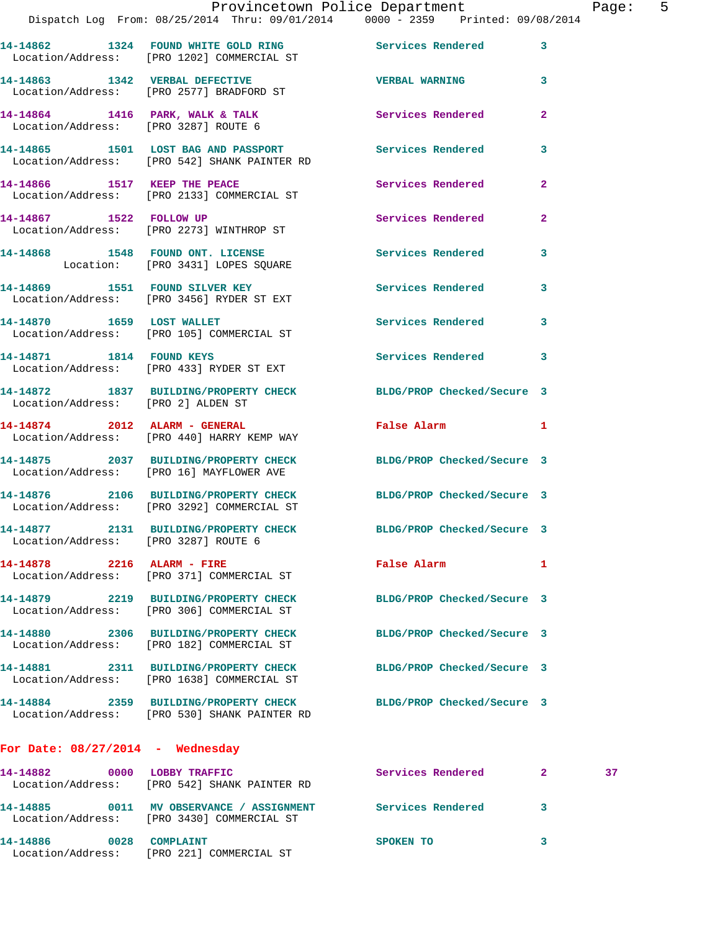|      |                            | Provincetown Police Department                 |                                 |  | Page: | - 5 |
|------|----------------------------|------------------------------------------------|---------------------------------|--|-------|-----|
|      |                            | Dispatch Log From: 08/25/2014 Thru: 09/01/2014 | 0000 - 2359 Printed: 09/08/2014 |  |       |     |
| 4862 | 1324 FOUND WHITE GOLD RING |                                                | <b>Services Rendered</b>        |  |       |     |

|                                      | 14-14862 1324 FOUND WHITE GOLD RING<br>Location/Address: [PRO 1202] COMMERCIAL ST                      | Services Rendered<br>$\overline{\phantom{a}}$ 3 |                |    |
|--------------------------------------|--------------------------------------------------------------------------------------------------------|-------------------------------------------------|----------------|----|
|                                      | 14-14863 1342 VERBAL DEFECTIVE<br>Location/Address: [PRO 2577] BRADFORD ST                             | <b>VERBAL WARNING</b>                           | 3              |    |
| Location/Address: [PRO 3287] ROUTE 6 | 14-14864 1416 PARK, WALK & TALK                                                                        | Services Rendered                               | $\mathbf{2}$   |    |
|                                      | 14-14865 1501 LOST BAG AND PASSPORT<br>Location/Address: [PRO 542] SHANK PAINTER RD                    | <b>Services Rendered</b>                        | 3              |    |
|                                      | 14-14866 1517 KEEP THE PEACE<br>Location/Address: [PRO 2133] COMMERCIAL ST                             | <b>Services Rendered</b>                        | $\mathbf{2}$   |    |
| 14-14867 1522 FOLLOW UP              | Location/Address: [PRO 2273] WINTHROP ST                                                               | Services Rendered                               | $\overline{2}$ |    |
|                                      | 14-14868 1548 FOUND ONT. LICENSE<br>Location: [PRO 3431] LOPES SQUARE                                  | <b>Services Rendered</b>                        | 3              |    |
|                                      | 14-14869 1551 FOUND SILVER KEY<br>Location/Address: [PRO 3456] RYDER ST EXT                            | Services Rendered                               | 3              |    |
|                                      | 14-14870 1659 LOST WALLET<br>Location/Address: [PRO 105] COMMERCIAL ST                                 | Services Rendered                               | 3              |    |
| 14-14871 1814 FOUND KEYS             | Location/Address: [PRO 433] RYDER ST EXT                                                               | Services Rendered 3                             |                |    |
|                                      | 14-14872 1837 BUILDING/PROPERTY CHECK BLDG/PROP Checked/Secure 3<br>Location/Address: [PRO 2] ALDEN ST |                                                 |                |    |
|                                      | 14-14874 2012 ALARM - GENERAL<br>Location/Address: [PRO 440] HARRY KEMP WAY                            | False Alarm                                     | 1              |    |
|                                      | 14-14875 2037 BUILDING/PROPERTY CHECK<br>Location/Address: [PRO 16] MAYFLOWER AVE                      | BLDG/PROP Checked/Secure 3                      |                |    |
|                                      | 14-14876 2106 BUILDING/PROPERTY CHECK<br>Location/Address: [PRO 3292] COMMERCIAL ST                    | BLDG/PROP Checked/Secure 3                      |                |    |
| Location/Address: [PRO 3287] ROUTE 6 | 14-14877 2131 BUILDING/PROPERTY CHECK BLDG/PROP Checked/Secure 3                                       |                                                 |                |    |
|                                      | 14-14878    2216    ALARM - FIRE<br>Location/Address: [PRO 371] COMMERCIAL ST                          | <b>Exalse Alarm</b> 2012 1                      |                |    |
|                                      | 14-14879 2219 BUILDING/PROPERTY CHECK<br>Location/Address: [PRO 306] COMMERCIAL ST                     | BLDG/PROP Checked/Secure 3                      |                |    |
|                                      | 14-14880 2306 BUILDING/PROPERTY CHECK<br>Location/Address: [PRO 182] COMMERCIAL ST                     | BLDG/PROP Checked/Secure 3                      |                |    |
|                                      | 14-14881 2311 BUILDING/PROPERTY CHECK<br>Location/Address: [PRO 1638] COMMERCIAL ST                    | BLDG/PROP Checked/Secure 3                      |                |    |
|                                      | 14-14884 2359 BUILDING/PROPERTY CHECK<br>Location/Address: [PRO 530] SHANK PAINTER RD                  | BLDG/PROP Checked/Secure 3                      |                |    |
| For Date: $08/27/2014$ - Wednesday   |                                                                                                        |                                                 |                |    |
|                                      | Location/Address: [PRO 542] SHANK PAINTER RD                                                           | Services Rendered                               | $\mathbf{2}$   | 37 |
|                                      |                                                                                                        |                                                 |                |    |

 Location/Address: [PRO 3430] COMMERCIAL ST **14-14886 0028 COMPLAINT SPOKEN TO 3**  Location/Address: [PRO 221] COMMERCIAL ST

**14-14885 0011 MV OBSERVANCE / ASSIGNMENT Services Rendered 3**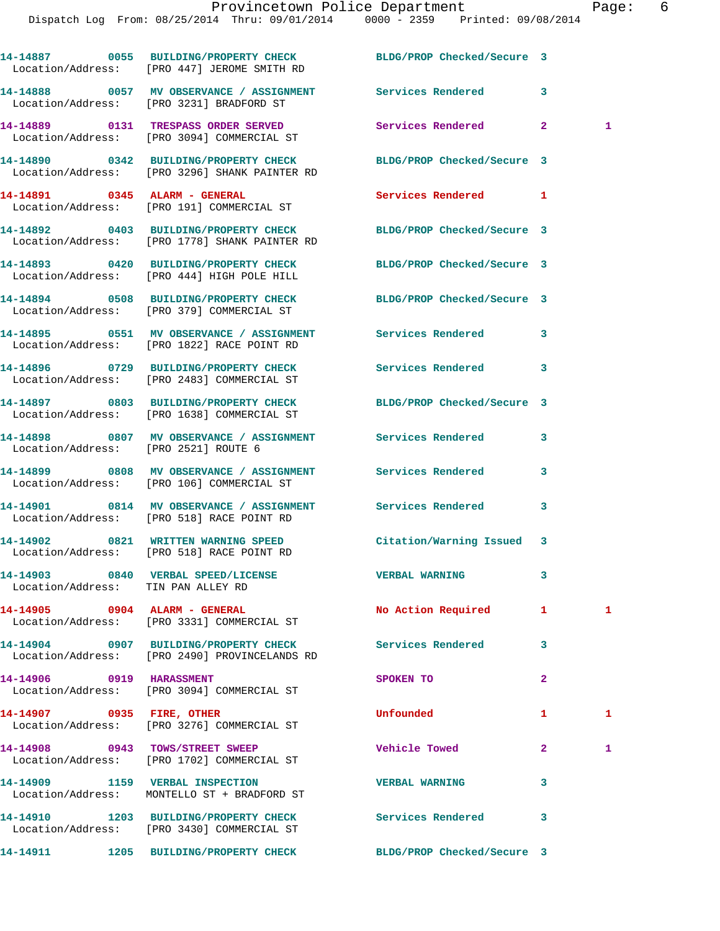|                                    | 14-14887 0055 BUILDING/PROPERTY CHECK BLDG/PROP Checked/Secure 3<br>Location/Address: [PRO 447] JEROME SMITH RD   |                            |                |              |
|------------------------------------|-------------------------------------------------------------------------------------------------------------------|----------------------------|----------------|--------------|
|                                    | 14-14888 6057 MV OBSERVANCE / ASSIGNMENT Services Rendered<br>Location/Address: [PRO 3231] BRADFORD ST            |                            | 3              |              |
|                                    | 14-14889 0131 TRESPASS ORDER SERVED<br>Location/Address: [PRO 3094] COMMERCIAL ST                                 | Services Rendered          | $\mathbf{2}$   | 1            |
|                                    | 14-14890 0342 BUILDING/PROPERTY CHECK BLDG/PROP Checked/Secure 3<br>Location/Address: [PRO 3296] SHANK PAINTER RD |                            |                |              |
|                                    | 14-14891 0345 ALARM - GENERAL<br>Location/Address: [PRO 191] COMMERCIAL ST                                        | <b>Services Rendered</b> 1 |                |              |
|                                    | 14-14892 0403 BUILDING/PROPERTY CHECK BLDG/PROP Checked/Secure 3<br>Location/Address: [PRO 1778] SHANK PAINTER RD |                            |                |              |
|                                    | 14-14893 0420 BUILDING/PROPERTY CHECK BLDG/PROP Checked/Secure 3<br>Location/Address: [PRO 444] HIGH POLE HILL    |                            |                |              |
|                                    | 14-14894 0508 BUILDING/PROPERTY CHECK<br>Location/Address: [PRO 379] COMMERCIAL ST                                | BLDG/PROP Checked/Secure 3 |                |              |
|                                    | 14-14895 0551 MV OBSERVANCE / ASSIGNMENT Services Rendered<br>Location/Address: [PRO 1822] RACE POINT RD          |                            | 3              |              |
|                                    | 14-14896 0729 BUILDING/PROPERTY CHECK Services Rendered<br>Location/Address: [PRO 2483] COMMERCIAL ST             |                            | 3              |              |
|                                    | 14-14897 0803 BUILDING/PROPERTY CHECK BLDG/PROP Checked/Secure 3<br>Location/Address: [PRO 1638] COMMERCIAL ST    |                            |                |              |
|                                    | 14-14898 0807 MV OBSERVANCE / ASSIGNMENT Services Rendered<br>Location/Address: [PRO 2521] ROUTE 6                |                            | 3              |              |
|                                    | 14-14899 0808 MV OBSERVANCE / ASSIGNMENT Services Rendered<br>Location/Address: [PRO 106] COMMERCIAL ST           |                            | 3              |              |
|                                    | 14-14901 0814 MV OBSERVANCE / ASSIGNMENT Services Rendered<br>Location/Address: [PRO 518] RACE POINT RD           |                            | 3              |              |
|                                    | 14-14902 0821 WRITTEN WARNING SPEED<br>Location/Address: [PRO 518] RACE POINT RD                                  | Citation/Warning Issued    | 3              |              |
| Location/Address: TIN PAN ALLEY RD | 14-14903 0840 VERBAL SPEED/LICENSE                                                                                | <b>VERBAL WARNING</b>      |                |              |
|                                    | 14-14905 0904 ALARM - GENERAL<br>Location/Address: [PRO 3331] COMMERCIAL ST                                       | No Action Required         | $\mathbf{1}$   | $\mathbf{1}$ |
|                                    | 14-14904 0907 BUILDING/PROPERTY CHECK Services Rendered<br>Location/Address: [PRO 2490] PROVINCELANDS RD          |                            | 3              |              |
| 14-14906 0919 HARASSMENT           | Location/Address: [PRO 3094] COMMERCIAL ST                                                                        | SPOKEN TO                  | $\overline{a}$ |              |
| 14-14907 0935 FIRE, OTHER          | Location/Address: [PRO 3276] COMMERCIAL ST                                                                        | Unfounded                  | 1              | $\mathbf{1}$ |
|                                    | 14-14908 0943 TOWS/STREET SWEEP<br>Location/Address: [PRO 1702] COMMERCIAL ST                                     | Vehicle Towed              | $\mathbf{2}$   | 1            |
|                                    | 14-14909 1159 VERBAL INSPECTION<br>Location/Address: MONTELLO ST + BRADFORD ST                                    | <b>VERBAL WARNING</b>      | 3              |              |
|                                    | 14-14910 1203 BUILDING/PROPERTY CHECK<br>Location/Address: [PRO 3430] COMMERCIAL ST                               | <b>Services Rendered</b>   | 3              |              |
| 14-14911                           | 1205 BUILDING/PROPERTY CHECK                                                                                      | BLDG/PROP Checked/Secure 3 |                |              |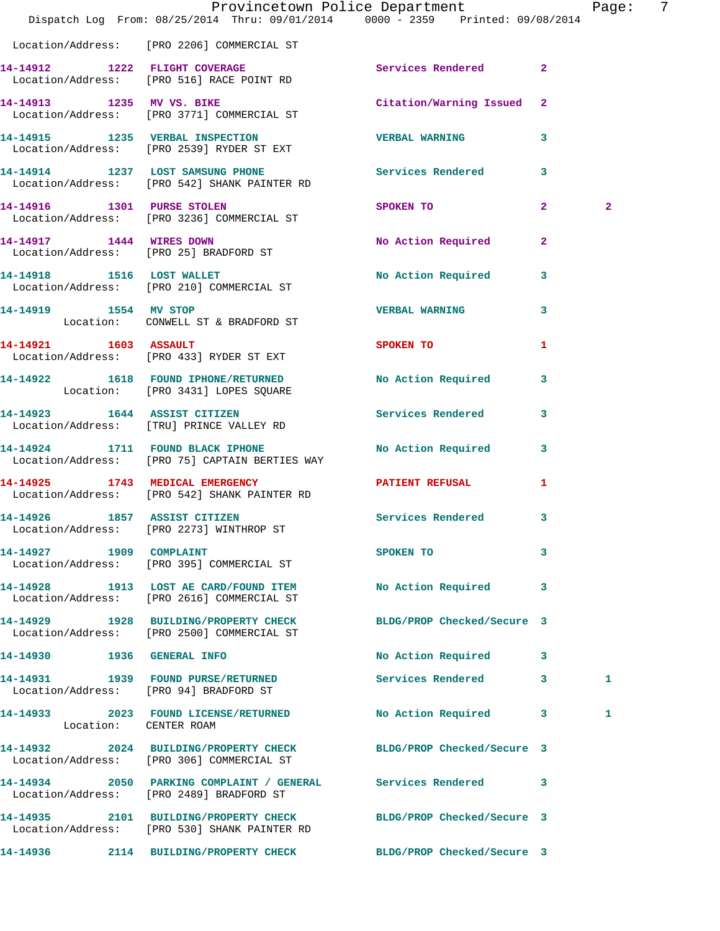|                            | Dispatch Log From: 08/25/2014 Thru: 09/01/2014 0000 - 2359 Printed: 09/08/2014                                   | Provincetown Police Department                                                                                                                                                                                                                  | - 7<br>Page: |
|----------------------------|------------------------------------------------------------------------------------------------------------------|-------------------------------------------------------------------------------------------------------------------------------------------------------------------------------------------------------------------------------------------------|--------------|
|                            | Location/Address: [PRO 2206] COMMERCIAL ST                                                                       |                                                                                                                                                                                                                                                 |              |
|                            | 14-14912 1222 FLIGHT COVERAGE<br>Location/Address: [PRO 516] RACE POINT RD                                       | Services Rendered 2                                                                                                                                                                                                                             |              |
|                            | 14-14913 1235 MV VS. BIKE<br>Location/Address: [PRO 3771] COMMERCIAL ST                                          | Citation/Warning Issued 2                                                                                                                                                                                                                       |              |
|                            | 14-14915 1235 VERBAL INSPECTION TERBAL WARNING<br>Location/Address: [PRO 2539] RYDER ST EXT                      | $\overline{\mathbf{3}}$                                                                                                                                                                                                                         |              |
|                            | 14-14914 1237 LOST SAMSUNG PHONE Services Rendered<br>Location/Address: [PRO 542] SHANK PAINTER RD               | $\overline{\mathbf{3}}$                                                                                                                                                                                                                         |              |
| 14-14916 1301 PURSE STOLEN | Location/Address: [PRO 3236] COMMERCIAL ST                                                                       | $\overline{2}$<br>SPOKEN TO AND TO A REAL PROPERTY OF THE STATE OF THE STATE OF THE STATE OF THE STATE OF THE STATE OF THE STATE OF THE STATE OF THE STATE OF THE STATE OF THE STATE OF THE STATE OF THE STATE OF THE STATE OF THE STATE OF THE | $\mathbf{2}$ |
|                            | 14-14917 1444 WIRES DOWN<br>Location/Address: [PRO 25] BRADFORD ST                                               | <b>No Action Required</b><br>$\mathbf{2}$                                                                                                                                                                                                       |              |
| 14-14918 1516 LOST WALLET  | Location/Address: [PRO 210] COMMERCIAL ST                                                                        | No Action Required<br>3                                                                                                                                                                                                                         |              |
|                            | 14-14919 1554 MV STOP<br>Location: CONWELL ST & BRADFORD ST                                                      | <b>VERBAL WARNING</b><br>3                                                                                                                                                                                                                      |              |
| 14-14921 1603 ASSAULT      | Location/Address: [PRO 433] RYDER ST EXT                                                                         | SPOKEN TO<br>1                                                                                                                                                                                                                                  |              |
|                            | 14-14922 1618 FOUND IPHONE/RETURNED<br>Location: [PRO 3431] LOPES SQUARE                                         | No Action Required 3                                                                                                                                                                                                                            |              |
|                            | 14-14923 1644 ASSIST CITIZEN<br>Location/Address: [TRU] PRINCE VALLEY RD                                         | <b>Services Rendered</b><br>$\mathbf{3}$                                                                                                                                                                                                        |              |
|                            | 14-14924 1711 FOUND BLACK IPHONE<br>Location/Address: [PRO 75] CAPTAIN BERTIES WAY                               | No Action Required 3                                                                                                                                                                                                                            |              |
|                            | 14-14925 1743 MEDICAL EMERGENCY<br>Location/Address: [PRO 542] SHANK PAINTER RD                                  | <b>PATIENT REFUSAL</b><br>1                                                                                                                                                                                                                     |              |
|                            | 14-14926 1857 ASSIST CITIZEN Services Rendered 3<br>Location/Address: [PRO 2273] WINTHROP ST                     |                                                                                                                                                                                                                                                 |              |
| 14-14927 1909 COMPLAINT    | Location/Address: [PRO 395] COMMERCIAL ST                                                                        | SPOKEN TO SPOKEN TO<br>3                                                                                                                                                                                                                        |              |
|                            | 14-14928 1913 LOST AE CARD/FOUND ITEM<br>Location/Address: [PRO 2616] COMMERCIAL ST                              | No Action Required 3                                                                                                                                                                                                                            |              |
|                            | 14-14929 1928 BUILDING/PROPERTY CHECK BLDG/PROP Checked/Secure 3<br>Location/Address: [PRO 2500] COMMERCIAL ST   |                                                                                                                                                                                                                                                 |              |
| 14-14930 1936 GENERAL INFO |                                                                                                                  | No Action Required 3                                                                                                                                                                                                                            |              |
|                            | 14-14931 1939 FOUND PURSE/RETURNED<br>Location/Address: [PRO 94] BRADFORD ST                                     | Services Rendered 3                                                                                                                                                                                                                             | 1            |
| Location: CENTER ROAM      | 14-14933 2023 FOUND LICENSE/RETURNED                                                                             | No Action Required 3                                                                                                                                                                                                                            | 1            |
|                            | 14-14932 2024 BUILDING/PROPERTY CHECK BLDG/PROP Checked/Secure 3<br>Location/Address: [PRO 306] COMMERCIAL ST    |                                                                                                                                                                                                                                                 |              |
|                            | 14-14934 2050 PARKING COMPLAINT / GENERAL Services Rendered 3<br>Location/Address: [PRO 2489] BRADFORD ST        |                                                                                                                                                                                                                                                 |              |
|                            | 14-14935 2101 BUILDING/PROPERTY CHECK BLDG/PROP Checked/Secure 3<br>Location/Address: [PRO 530] SHANK PAINTER RD |                                                                                                                                                                                                                                                 |              |
|                            | 14-14936 2114 BUILDING/PROPERTY CHECK BLDG/PROP Checked/Secure 3                                                 |                                                                                                                                                                                                                                                 |              |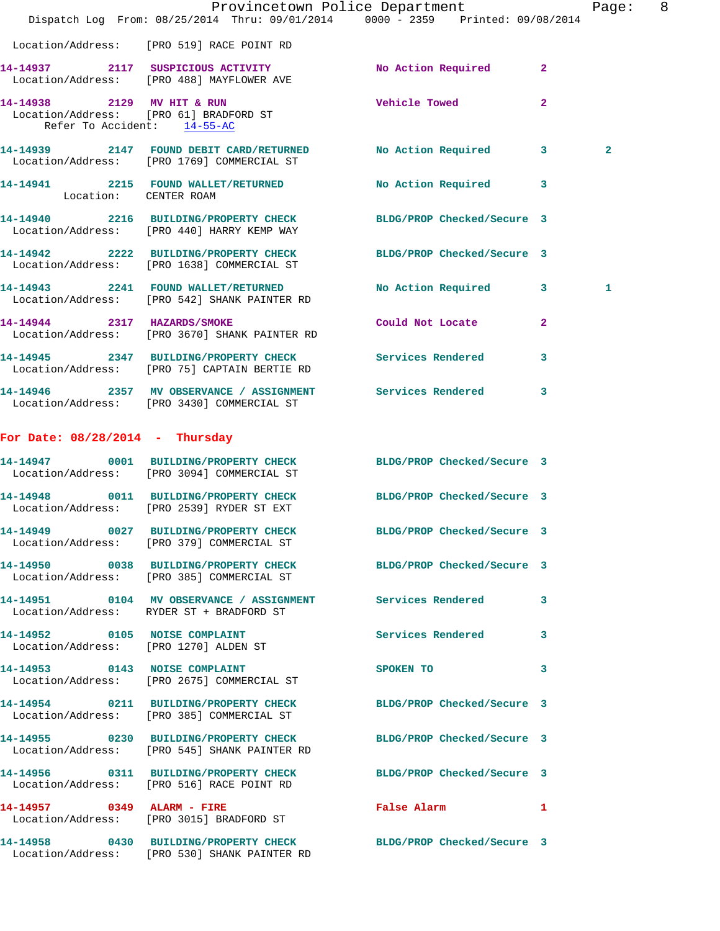|                                   |                                                                                                                  | Provincetown Police Department<br>Dispatch Log From: 08/25/2014 Thru: 09/01/2014 0000 - 2359 Printed: 09/08/2014 | Page: 8      |  |
|-----------------------------------|------------------------------------------------------------------------------------------------------------------|------------------------------------------------------------------------------------------------------------------|--------------|--|
|                                   | Location/Address: [PRO 519] RACE POINT RD                                                                        |                                                                                                                  |              |  |
|                                   | 14-14937 2117 SUSPICIOUS ACTIVITY<br>Location/Address: [PRO 488] MAYFLOWER AVE                                   | No Action Required 2                                                                                             |              |  |
| Refer To Accident: 14-55-AC       | 14-14938 2129 MV HIT & RUN<br>Location/Address: [PRO 61] BRADFORD ST                                             | <b>Vehicle Towed</b><br>$\overline{2}$                                                                           |              |  |
|                                   | Location/Address: [PRO 1769] COMMERCIAL ST                                                                       | 14-14939 2147 FOUND DEBIT CARD/RETURNED No Action Required 3                                                     | $\mathbf{2}$ |  |
|                                   | 14-14941 2215 FOUND WALLET/RETURNED<br>Location: CENTER ROAM                                                     | No Action Required 3                                                                                             |              |  |
|                                   | 14-14940 2216 BUILDING/PROPERTY CHECK<br>Location/Address: [PRO 440] HARRY KEMP WAY                              | BLDG/PROP Checked/Secure 3                                                                                       |              |  |
|                                   | 14-14942 2222 BUILDING/PROPERTY CHECK<br>Location/Address: [PRO 1638] COMMERCIAL ST                              | BLDG/PROP Checked/Secure 3                                                                                       |              |  |
|                                   | 14-14943 2241 FOUND WALLET/RETURNED<br>Location/Address: [PRO 542] SHANK PAINTER RD                              | No Action Required 3                                                                                             | 1            |  |
| 14-14944 2317 HAZARDS/SMOKE       | Location/Address: [PRO 3670] SHANK PAINTER RD                                                                    | Could Not Locate 2                                                                                               |              |  |
|                                   | 14-14945 2347 BUILDING/PROPERTY CHECK Services Rendered<br>Location/Address: [PRO 75] CAPTAIN BERTIE RD          | 3                                                                                                                |              |  |
|                                   | 14-14946 2357 MV OBSERVANCE / ASSIGNMENT Services Rendered 3<br>Location/Address: [PRO 3430] COMMERCIAL ST       |                                                                                                                  |              |  |
| For Date: $08/28/2014$ - Thursday |                                                                                                                  |                                                                                                                  |              |  |
|                                   | 14-14947 0001 BUILDING/PROPERTY CHECK BLDG/PROP Checked/Secure 3<br>Location/Address: [PRO 3094] COMMERCIAL ST   |                                                                                                                  |              |  |
|                                   | 14-14948 0011 BUILDING/PROPERTY CHECK<br>Location/Address: [PRO 2539] RYDER ST EXT                               | BLDG/PROP Checked/Secure 3                                                                                       |              |  |
|                                   | 14-14949 0027 BUILDING/PROPERTY CHECK<br>Location/Address: [PRO 379] COMMERCIAL ST                               | BLDG/PROP Checked/Secure 3                                                                                       |              |  |
|                                   | 14-14950 0038 BUILDING/PROPERTY CHECK<br>Location/Address: [PRO 385] COMMERCIAL ST                               | BLDG/PROP Checked/Secure 3                                                                                       |              |  |
|                                   | 14-14951 0104 MV OBSERVANCE / ASSIGNMENT Services Rendered<br>Location/Address: RYDER ST + BRADFORD ST           | 3                                                                                                                |              |  |
|                                   | 14-14952 0105 NOISE COMPLAINT<br>Location/Address: [PRO 1270] ALDEN ST                                           | Services Rendered<br>3                                                                                           |              |  |
|                                   | 14-14953 0143 NOISE COMPLAINT<br>Location/Address: [PRO 2675] COMMERCIAL ST                                      | SPOKEN TO<br>3                                                                                                   |              |  |
|                                   | 14-14954 0211 BUILDING/PROPERTY CHECK<br>Location/Address: [PRO 385] COMMERCIAL ST                               | BLDG/PROP Checked/Secure 3                                                                                       |              |  |
|                                   | 14-14955 0230 BUILDING/PROPERTY CHECK<br>Location/Address: [PRO 545] SHANK PAINTER RD                            | BLDG/PROP Checked/Secure 3                                                                                       |              |  |
|                                   | 14-14956 0311 BUILDING/PROPERTY CHECK<br>Location/Address: [PRO 516] RACE POINT RD                               | BLDG/PROP Checked/Secure 3                                                                                       |              |  |
| 14-14957 0349 ALARM - FIRE        | Location/Address: [PRO 3015] BRADFORD ST                                                                         | False Alarm 1                                                                                                    |              |  |
|                                   | 14-14958 0430 BUILDING/PROPERTY CHECK BLDG/PROP Checked/Secure 3<br>Location/Address: [PRO 530] SHANK PAINTER RD |                                                                                                                  |              |  |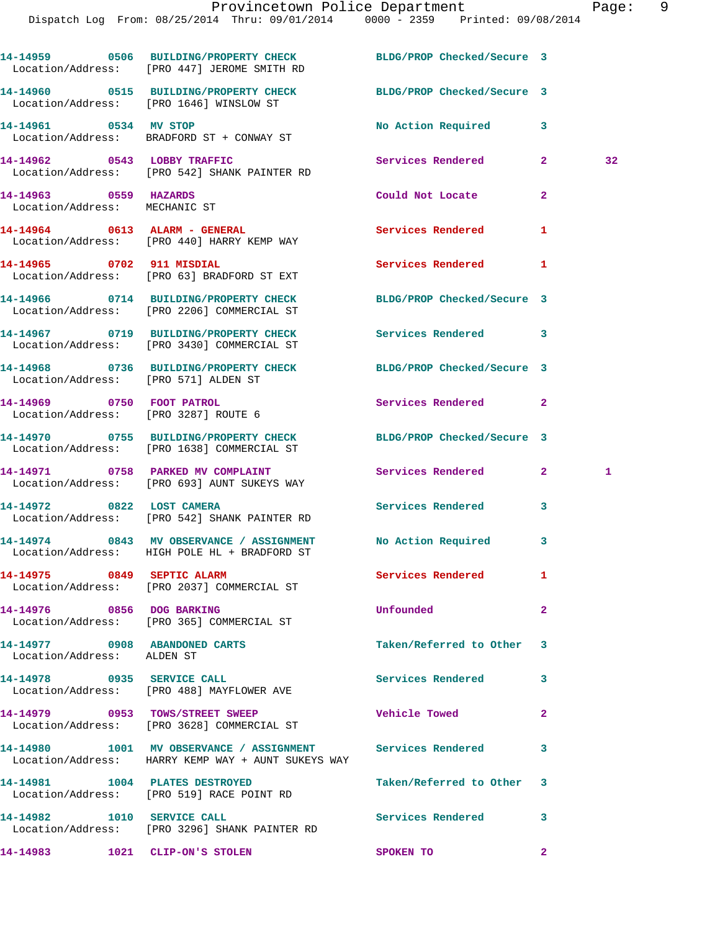|                                                                   | 14-14959 0506 BUILDING/PROPERTY CHECK BLDG/PROP Checked/Secure 3<br>Location/Address: [PRO 447] JEROME SMITH RD  |                            |              |    |
|-------------------------------------------------------------------|------------------------------------------------------------------------------------------------------------------|----------------------------|--------------|----|
|                                                                   | 14-14960 0515 BUILDING/PROPERTY CHECK BLDG/PROP Checked/Secure 3<br>Location/Address: [PRO 1646] WINSLOW ST      |                            |              |    |
| 14-14961 0534 MV STOP                                             | Location/Address: BRADFORD ST + CONWAY ST                                                                        | No Action Required 3       |              |    |
|                                                                   | 14-14962 0543 LOBBY TRAFFIC<br>Location/Address: [PRO 542] SHANK PAINTER RD                                      | <b>Services Rendered</b>   | $\mathbf{2}$ | 32 |
| 14-14963 0559 HAZARDS<br>Location/Address: MECHANIC ST            |                                                                                                                  | Could Not Locate           | $\mathbf{2}$ |    |
|                                                                   | 14-14964 0613 ALARM - GENERAL<br>Location/Address: [PRO 440] HARRY KEMP WAY                                      | <b>Services Rendered</b>   | 1            |    |
| 14-14965 0702 911 MISDIAL                                         | Location/Address: [PRO 63] BRADFORD ST EXT                                                                       | Services Rendered          | 1            |    |
|                                                                   | 14-14966 0714 BUILDING/PROPERTY CHECK<br>Location/Address: [PRO 2206] COMMERCIAL ST                              | BLDG/PROP Checked/Secure 3 |              |    |
|                                                                   | 14-14967 0719 BUILDING/PROPERTY CHECK Services Rendered 3<br>Location/Address: [PRO 3430] COMMERCIAL ST          |                            |              |    |
| Location/Address: [PRO 571] ALDEN ST                              | 14-14968 0736 BUILDING/PROPERTY CHECK BLDG/PROP Checked/Secure 3                                                 |                            |              |    |
| 14-14969 0750 FOOT PATROL<br>Location/Address: [PRO 3287] ROUTE 6 |                                                                                                                  | Services Rendered          | $\mathbf{2}$ |    |
|                                                                   | 14-14970 0755 BUILDING/PROPERTY CHECK BLDG/PROP Checked/Secure 3<br>Location/Address: [PRO 1638] COMMERCIAL ST   |                            |              |    |
|                                                                   | 14-14971 0758 PARKED MV COMPLAINT<br>Location/Address: [PRO 693] AUNT SUKEYS WAY                                 | Services Rendered          | $\mathbf{2}$ | 1  |
| 14-14972 0822 LOST CAMERA                                         | Location/Address: [PRO 542] SHANK PAINTER RD                                                                     | Services Rendered 3        |              |    |
|                                                                   | 14-14974 0843 MV OBSERVANCE / ASSIGNMENT No Action Required 3<br>Location/Address: HIGH POLE HL + BRADFORD ST    |                            |              |    |
| 14-14975 0849 SEPTIC ALARM                                        | Location/Address: [PRO 2037] COMMERCIAL ST                                                                       | <b>Services Rendered</b>   |              |    |
| 14-14976 0856 DOG BARKING                                         | Location/Address: [PRO 365] COMMERCIAL ST                                                                        | Unfounded                  | $\mathbf{2}$ |    |
| 14-14977 0908 ABANDONED CARTS<br>Location/Address: ALDEN ST       |                                                                                                                  | Taken/Referred to Other 3  |              |    |
|                                                                   | 14-14978 0935 SERVICE CALL<br>Location/Address: [PRO 488] MAYFLOWER AVE                                          | <b>Services Rendered</b>   | 3            |    |
|                                                                   | 14-14979 0953 TOWS/STREET SWEEP<br>Location/Address: [PRO 3628] COMMERCIAL ST                                    | <b>Vehicle Towed</b>       | $\mathbf{2}$ |    |
|                                                                   | 14-14980 1001 MV OBSERVANCE / ASSIGNMENT Services Rendered<br>Location/Address: HARRY KEMP WAY + AUNT SUKEYS WAY |                            | 3            |    |
| 14-14981 1004 PLATES DESTROYED                                    | Location/Address: [PRO 519] RACE POINT RD                                                                        | Taken/Referred to Other    | -3           |    |
|                                                                   | 14-14982 1010 SERVICE CALL<br>Location/Address: [PRO 3296] SHANK PAINTER RD                                      | Services Rendered          | 3            |    |
| 14-14983 1021 CLIP-ON'S STOLEN                                    |                                                                                                                  | SPOKEN TO                  | $\mathbf{2}$ |    |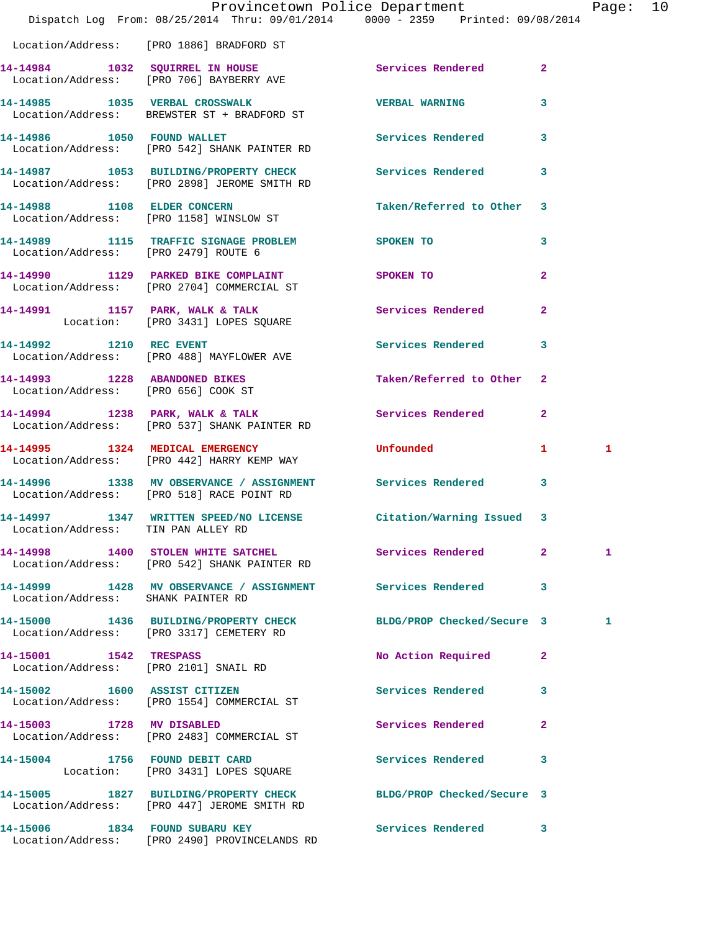|                                      | Dispatch Log From: 08/25/2014 Thru: 09/01/2014 0000 - 2359 Printed: 09/08/2014                            | Provincetown Police Department |                         | Page: 10 |  |
|--------------------------------------|-----------------------------------------------------------------------------------------------------------|--------------------------------|-------------------------|----------|--|
|                                      | Location/Address: [PRO 1886] BRADFORD ST                                                                  |                                |                         |          |  |
|                                      |                                                                                                           |                                |                         |          |  |
|                                      | 14-14984 1032 SQUIRREL IN HOUSE Services Rendered 2<br>Location/Address: [PRO 706] BAYBERRY AVE           |                                |                         |          |  |
|                                      | 14-14985 1035 VERBAL CROSSWALK<br>Location/Address: BREWSTER ST + BRADFORD ST                             | VERBAL WARNING 3               |                         |          |  |
|                                      | 14-14986 1050 FOUND WALLET<br>Location/Address: [PRO 542] SHANK PAINTER RD                                | Services Rendered 3            |                         |          |  |
|                                      | 14-14987 1053 BUILDING/PROPERTY CHECK Services Rendered 3<br>Location/Address: [PRO 2898] JEROME SMITH RD |                                |                         |          |  |
|                                      | 14-14988 1108 ELDER CONCERN<br>Location/Address: [PRO 1158] WINSLOW ST                                    | Taken/Referred to Other 3      |                         |          |  |
| Location/Address: [PRO 2479] ROUTE 6 | 14-14989 1115 TRAFFIC SIGNAGE PROBLEM SPOKEN TO                                                           |                                | $\overline{\mathbf{3}}$ |          |  |
|                                      | 14-14990 1129 PARKED BIKE COMPLAINT<br>Location/Address: [PRO 2704] COMMERCIAL ST                         | SPOKEN TO                      | $\overline{2}$          |          |  |
|                                      | 14-14991 1157 PARK, WALK & TALK Services Rendered 2<br>Location: [PRO 3431] LOPES SQUARE                  |                                |                         |          |  |
|                                      | 14-14992 1210 REC EVENT<br>Location/Address: [PRO 488] MAYFLOWER AVE                                      | Services Rendered 3            |                         |          |  |
| Location/Address: [PRO 656] COOK ST  | 14-14993 1228 ABANDONED BIKES                                                                             | Taken/Referred to Other 2      |                         |          |  |
|                                      | 14-14994 1238 PARK, WALK & TALK<br>Location/Address: [PRO 537] SHANK PAINTER RD                           | Services Rendered 2            |                         |          |  |
|                                      | 14-14995 1324 MEDICAL EMERGENCY<br>Location/Address: [PRO 442] HARRY KEMP WAY                             | <b>Unfounded United</b>        | $\mathbf{1}$            | 1        |  |
|                                      | 14-14996 1338 MV OBSERVANCE / ASSIGNMENT Services Rendered 3<br>Location/Address: [PRO 518] RACE POINT RD |                                |                         |          |  |
| Location/Address: TIN PAN ALLEY RD   | 14-14997 1347 WRITTEN SPEED/NO LICENSE Citation/Warning Issued 3                                          |                                |                         |          |  |
|                                      | 14-14998 1400 STOLEN WHITE SATCHEL Services Rendered 2<br>Location/Address: [PRO 542] SHANK PAINTER RD    |                                |                         | 1        |  |
| Location/Address: SHANK PAINTER RD   | 14-14999 1428 MV OBSERVANCE / ASSIGNMENT Services Rendered 3                                              |                                |                         |          |  |
|                                      | 14-15000 1436 BUILDING/PROPERTY CHECK<br>Location/Address: [PRO 3317] CEMETERY RD                         | BLDG/PROP Checked/Secure 3     |                         | 1        |  |
| 14-15001 1542 TRESPASS               | Location/Address: [PRO 2101] SNAIL RD                                                                     | No Action Required 2           |                         |          |  |
|                                      | 14-15002 1600 ASSIST CITIZEN<br>Location/Address: [PRO 1554] COMMERCIAL ST                                | <b>Services Rendered</b>       | 3                       |          |  |
| 14-15003 1728 MV DISABLED            | Location/Address: [PRO 2483] COMMERCIAL ST                                                                | Services Rendered              | $\mathbf{2}$            |          |  |
|                                      | 14-15004 1756 FOUND DEBIT CARD<br>Location: [PRO 3431] LOPES SQUARE                                       | Services Rendered              | 3                       |          |  |
|                                      | 14-15005 1827 BUILDING/PROPERTY CHECK<br>Location/Address: [PRO 447] JEROME SMITH RD                      | BLDG/PROP Checked/Secure 3     |                         |          |  |
|                                      | 14-15006 1834 FOUND SUBARU KEY<br>Location/Address: [PRO 2490] PROVINCELANDS RD                           | Services Rendered 3            |                         |          |  |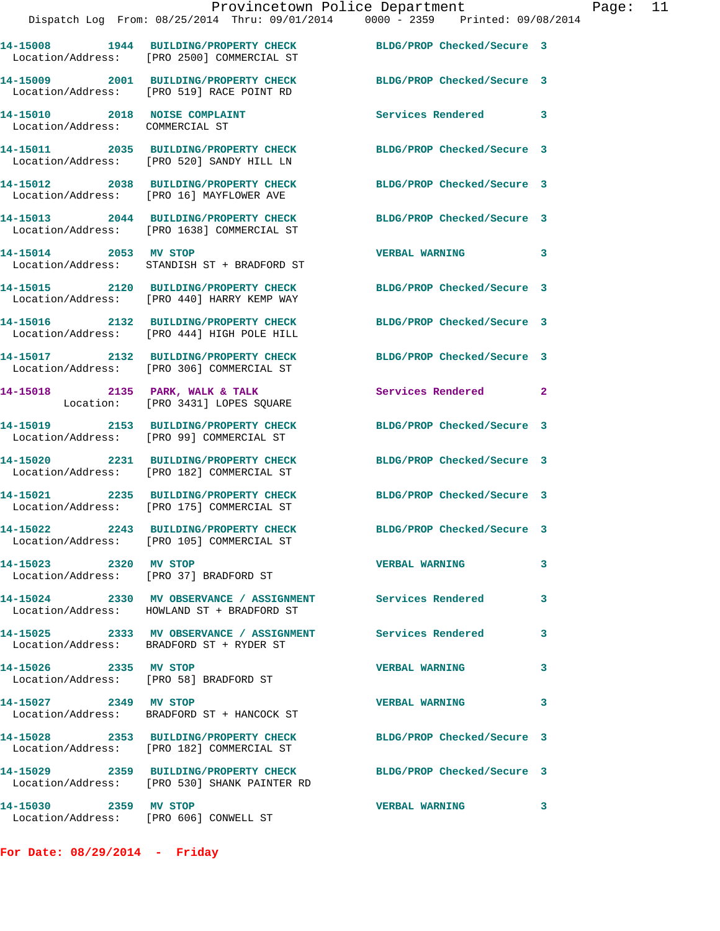|                                 | Provincetown Police Department                                                                                   |                            | Page: 11     |  |
|---------------------------------|------------------------------------------------------------------------------------------------------------------|----------------------------|--------------|--|
|                                 | Dispatch Log From: 08/25/2014 Thru: 09/01/2014 0000 - 2359 Printed: 09/08/2014                                   |                            |              |  |
|                                 | 14-15008 1944 BUILDING/PROPERTY CHECK BLDG/PROP Checked/Secure 3<br>Location/Address: [PRO 2500] COMMERCIAL ST   |                            |              |  |
|                                 | 14-15009 2001 BUILDING/PROPERTY CHECK BLDG/PROP Checked/Secure 3<br>Location/Address: [PRO 519] RACE POINT RD    |                            |              |  |
| Location/Address: COMMERCIAL ST | 14-15010 2018 NOISE COMPLAINT Services Rendered 3                                                                |                            |              |  |
|                                 | 14-15011 2035 BUILDING/PROPERTY CHECK BLDG/PROP Checked/Secure 3<br>Location/Address: [PRO 520] SANDY HILL LN    |                            |              |  |
|                                 | 14-15012 2038 BUILDING/PROPERTY CHECK BLDG/PROP Checked/Secure 3<br>Location/Address: [PRO 16] MAYFLOWER AVE     |                            |              |  |
|                                 | 14-15013 2044 BUILDING/PROPERTY CHECK BLDG/PROP Checked/Secure 3<br>Location/Address: [PRO 1638] COMMERCIAL ST   |                            |              |  |
|                                 | 14-15014 2053 MV STOP<br>Location/Address: STANDISH ST + BRADFORD ST                                             | <b>VERBAL WARNING</b>      | $\mathbf{3}$ |  |
|                                 | 14-15015 2120 BUILDING/PROPERTY CHECK BLDG/PROP Checked/Secure 3<br>Location/Address: [PRO 440] HARRY KEMP WAY   |                            |              |  |
|                                 | 14-15016 2132 BUILDING/PROPERTY CHECK BLDG/PROP Checked/Secure 3<br>Location/Address: [PRO 444] HIGH POLE HILL   |                            |              |  |
|                                 | 14-15017 2132 BUILDING/PROPERTY CHECK BLDG/PROP Checked/Secure 3<br>Location/Address: [PRO 306] COMMERCIAL ST    |                            |              |  |
|                                 | 14-15018 2135 PARK, WALK & TALK<br>Location: [PRO 3431] LOPES SQUARE                                             | Services Rendered 2        |              |  |
|                                 | 14-15019 2153 BUILDING/PROPERTY CHECK BLDG/PROP Checked/Secure 3<br>Location/Address: [PRO 99] COMMERCIAL ST     |                            |              |  |
|                                 | 14-15020 2231 BUILDING/PROPERTY CHECK<br>Location/Address: [PRO 182] COMMERCIAL ST                               | BLDG/PROP Checked/Secure 3 |              |  |
|                                 | 14-15021 2235 BUILDING/PROPERTY CHECK BLDG/PROP Checked/Secure 3<br>Location/Address: [PRO 175] COMMERCIAL ST    |                            |              |  |
|                                 | 14-15022 2243 BUILDING/PROPERTY CHECK<br>Location/Address: [PRO 105] COMMERCIAL ST                               | BLDG/PROP Checked/Secure 3 |              |  |
| 14-15023 2320 MV STOP           | Location/Address: [PRO 37] BRADFORD ST                                                                           | <b>VERBAL WARNING</b>      | 3            |  |
|                                 | 14-15024 2330 MV OBSERVANCE / ASSIGNMENT Services Rendered<br>Location/Address: HOWLAND ST + BRADFORD ST         |                            | 3            |  |
|                                 | 14-15025 2333 MV OBSERVANCE / ASSIGNMENT Services Rendered 3<br>Location/Address: BRADFORD ST + RYDER ST         |                            |              |  |
|                                 | 14-15026 2335 MV STOP<br>Location/Address: [PRO 58] BRADFORD ST                                                  | <b>VERBAL WARNING</b>      | 3            |  |
| 14-15027 2349 MV STOP           | Location/Address: BRADFORD ST + HANCOCK ST                                                                       | <b>VERBAL WARNING</b>      | 3            |  |
|                                 | 14-15028 2353 BUILDING/PROPERTY CHECK BLDG/PROP Checked/Secure 3<br>Location/Address: [PRO 182] COMMERCIAL ST    |                            |              |  |
|                                 | 14-15029 2359 BUILDING/PROPERTY CHECK BLDG/PROP Checked/Secure 3<br>Location/Address: [PRO 530] SHANK PAINTER RD |                            |              |  |
| 14-15030 2359 MV STOP           |                                                                                                                  | VERBAL WARNING 3           |              |  |

**For Date: 08/29/2014 - Friday**

Location/Address: [PRO 606] CONWELL ST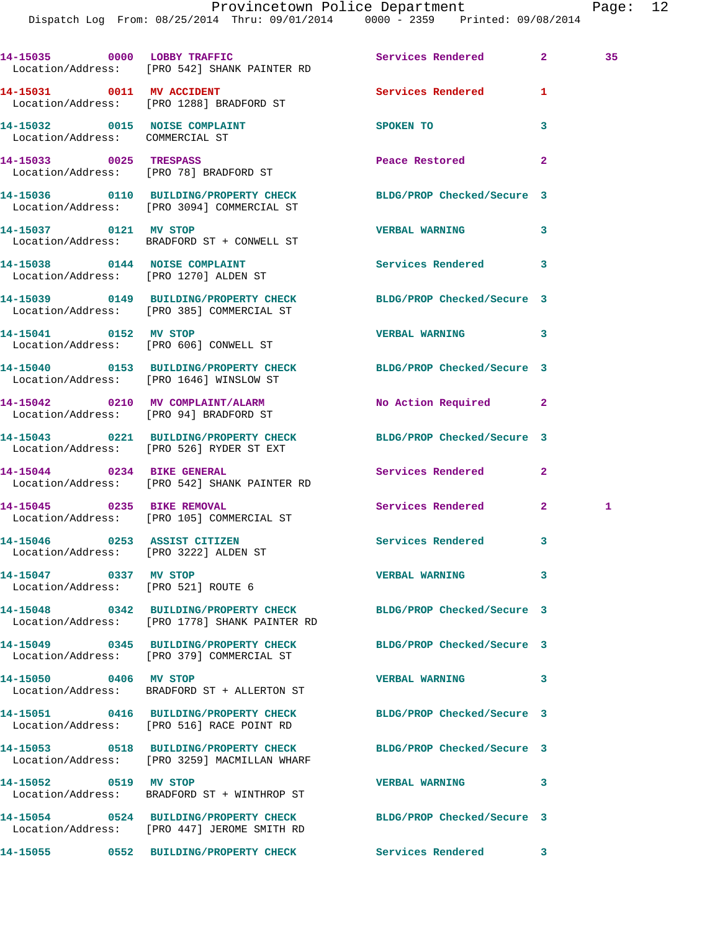|                                                                       | 14-15035 0000 LOBBY TRAFFIC<br>Location/Address: [PRO 542] SHANK PAINTER RD                                     | Services Rendered                     | $\mathbf{2}$ and $\mathbf{2}$ and $\mathbf{2}$ | 35 |
|-----------------------------------------------------------------------|-----------------------------------------------------------------------------------------------------------------|---------------------------------------|------------------------------------------------|----|
|                                                                       | 14-15031 0011 MV ACCIDENT<br>Location/Address: [PRO 1288] BRADFORD ST                                           | <b>Services Rendered</b>              | 1                                              |    |
| 14-15032 0015 NOISE COMPLAINT<br>Location/Address: COMMERCIAL ST      |                                                                                                                 | <b>SPOKEN TO</b>                      | 3                                              |    |
|                                                                       | 14-15033 0025 TRESPASS<br>Location/Address: [PRO 78] BRADFORD ST                                                | Peace Restored and the Peace Restored | $\mathbf{2}$                                   |    |
|                                                                       | 14-15036 0110 BUILDING/PROPERTY CHECK BLDG/PROP Checked/Secure 3<br>Location/Address: [PRO 3094] COMMERCIAL ST  |                                       |                                                |    |
| 14-15037 0121 MV STOP                                                 | Location/Address: BRADFORD ST + CONWELL ST                                                                      | <b>VERBAL WARNING</b>                 | 3                                              |    |
| 14-15038 0144 NOISE COMPLAINT                                         | Location/Address: [PRO 1270] ALDEN ST                                                                           | <b>Services Rendered</b>              | 3                                              |    |
|                                                                       | 14-15039 0149 BUILDING/PROPERTY CHECK<br>Location/Address: [PRO 385] COMMERCIAL ST                              | BLDG/PROP Checked/Secure 3            |                                                |    |
| 14-15041 0152 MV STOP                                                 | Location/Address: [PRO 606] CONWELL ST                                                                          | <b>VERBAL WARNING</b>                 | 3                                              |    |
|                                                                       | 14-15040 0153 BUILDING/PROPERTY CHECK BLDG/PROP Checked/Secure 3<br>Location/Address: [PRO 1646] WINSLOW ST     |                                       |                                                |    |
|                                                                       | 14-15042 0210 MV COMPLAINT/ALARM<br>Location/Address: [PRO 94] BRADFORD ST                                      | No Action Required 2                  |                                                |    |
|                                                                       | 14-15043 0221 BUILDING/PROPERTY CHECK BLDG/PROP Checked/Secure 3<br>Location/Address: [PRO 526] RYDER ST EXT    |                                       |                                                |    |
|                                                                       | 14-15044 0234 BIKE GENERAL<br>Location/Address: [PRO 542] SHANK PAINTER RD                                      | Services Rendered                     | 2                                              |    |
| 14-15045 0235 BIKE REMOVAL                                            | Location/Address: [PRO 105] COMMERCIAL ST                                                                       | Services Rendered                     | $2^{\circ}$                                    | 1  |
| 14-15046 0253 ASSIST CITIZEN<br>Location/Address: [PRO 3222] ALDEN ST |                                                                                                                 | Services Rendered                     | 3                                              |    |
| 14-15047 0337 MV STOP<br>Location/Address: [PRO 521] ROUTE 6          |                                                                                                                 | <b>VERBAL WARNING</b>                 | 3                                              |    |
|                                                                       | 14-15048 0342 BUILDING/PROPERTY CHECK<br>Location/Address: [PRO 1778] SHANK PAINTER RD                          | BLDG/PROP Checked/Secure 3            |                                                |    |
|                                                                       | 14-15049 0345 BUILDING/PROPERTY CHECK<br>Location/Address: [PRO 379] COMMERCIAL ST                              | BLDG/PROP Checked/Secure 3            |                                                |    |
| 14-15050 0406 MV STOP                                                 | Location/Address: BRADFORD ST + ALLERTON ST                                                                     | <b>VERBAL WARNING</b>                 | 3                                              |    |
|                                                                       | 14-15051 0416 BUILDING/PROPERTY CHECK<br>Location/Address: [PRO 516] RACE POINT RD                              | BLDG/PROP Checked/Secure 3            |                                                |    |
|                                                                       | 14-15053 0518 BUILDING/PROPERTY CHECK<br>Location/Address: [PRO 3259] MACMILLAN WHARF                           | BLDG/PROP Checked/Secure 3            |                                                |    |
| 14-15052 0519 MV STOP                                                 | Location/Address: BRADFORD ST + WINTHROP ST                                                                     | <b>VERBAL WARNING</b>                 | 3                                              |    |
|                                                                       | 14-15054 0524 BUILDING/PROPERTY CHECK BLDG/PROP Checked/Secure 3<br>Location/Address: [PRO 447] JEROME SMITH RD |                                       |                                                |    |
|                                                                       |                                                                                                                 |                                       |                                                |    |

**14-15055 0552 BUILDING/PROPERTY CHECK Services Rendered 3**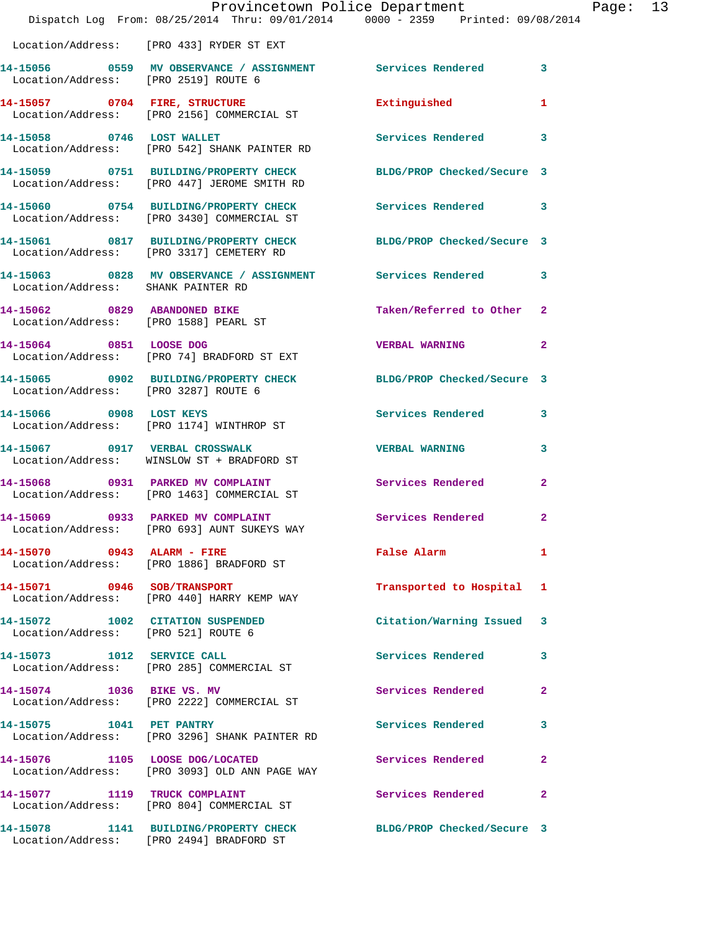|                                                                         | Provincetown Police Department<br>Dispatch Log From: 08/25/2014 Thru: 09/01/2014 0000 - 2359 Printed: 09/08/2014 |                            |                |
|-------------------------------------------------------------------------|------------------------------------------------------------------------------------------------------------------|----------------------------|----------------|
|                                                                         | Location/Address: [PRO 433] RYDER ST EXT                                                                         |                            |                |
| Location/Address: [PRO 2519] ROUTE 6                                    | 14-15056 6 0559 MV OBSERVANCE / ASSIGNMENT Services Rendered                                                     |                            | 3              |
|                                                                         | 14-15057 0704 FIRE, STRUCTURE<br>Location/Address: [PRO 2156] COMMERCIAL ST                                      | Extinguished               | 1              |
|                                                                         | 14-15058 0746 LOST WALLET<br>Location/Address: [PRO 542] SHANK PAINTER RD                                        | Services Rendered          | 3              |
|                                                                         | 14-15059 0751 BUILDING/PROPERTY CHECK<br>Location/Address: [PRO 447] JEROME SMITH RD                             | BLDG/PROP Checked/Secure 3 |                |
|                                                                         | 14-15060 0754 BUILDING/PROPERTY CHECK<br>Location/Address: [PRO 3430] COMMERCIAL ST                              | Services Rendered          | 3              |
|                                                                         | 14-15061 0817 BUILDING/PROPERTY CHECK<br>Location/Address: [PRO 3317] CEMETERY RD                                | BLDG/PROP Checked/Secure 3 |                |
| Location/Address: SHANK PAINTER RD                                      | 14-15063 0828 MV OBSERVANCE / ASSIGNMENT Services Rendered                                                       |                            | 3              |
| 14-15062 0829 ABANDONED BIKE<br>Location/Address: [PRO 1588] PEARL ST   |                                                                                                                  | Taken/Referred to Other    | $\overline{2}$ |
| 14-15064 0851 LOOSE DOG                                                 | Location/Address: [PRO 74] BRADFORD ST EXT                                                                       | <b>VERBAL WARNING</b>      | $\overline{a}$ |
| Location/Address: [PRO 3287] ROUTE 6                                    | 14-15065 0902 BUILDING/PROPERTY CHECK BLDG/PROP Checked/Secure 3                                                 |                            |                |
| 14-15066 0908 LOST KEYS                                                 | Location/Address: [PRO 1174] WINTHROP ST                                                                         | Services Rendered          | 3              |
|                                                                         | 14-15067 0917 VERBAL CROSSWALK<br>Location/Address: WINSLOW ST + BRADFORD ST                                     | <b>VERBAL WARNING</b>      | 3              |
|                                                                         | 14-15068 0931 PARKED MV COMPLAINT<br>Location/Address: [PRO 1463] COMMERCIAL ST                                  | <b>Services Rendered</b>   | $\mathbf{2}$   |
| 14-15069 0933 PARKED MV COMPLAINT                                       | Location/Address: [PRO 693] AUNT SUKEYS WAY                                                                      | Services Rendered          | $\overline{2}$ |
| 14-15070 0943 ALARM - FIRE                                              | Location/Address: [PRO 1886] BRADFORD ST                                                                         | False Alarm                | 1              |
| 14-15071 0946 SOB/TRANSPORT                                             | Location/Address: [PRO 440] HARRY KEMP WAY                                                                       | Transported to Hospital    | ı              |
| 14-15072 1002 CITATION SUSPENDED<br>Location/Address: [PRO 521] ROUTE 6 |                                                                                                                  | Citation/Warning Issued    | 3              |
|                                                                         | 14-15073    1012    SERVICE CALL<br>Location/Address: [PRO 285] COMMERCIAL ST                                    | Services Rendered          | 3              |
| 14-15074 1036 BIKE VS. MV                                               | Location/Address: [PRO 2222] COMMERCIAL ST                                                                       | Services Rendered          | $\mathbf{2}$   |
| 14-15075 1041 PET PANTRY                                                | Location/Address: [PRO 3296] SHANK PAINTER RD                                                                    | Services Rendered          | 3.             |
| 14-15076 1105 LOOSE DOG/LOCATED                                         | Location/Address: [PRO 3093] OLD ANN PAGE WAY                                                                    | Services Rendered          | 2              |
|                                                                         | 14-15077 1119 TRUCK COMPLAINT<br>Location/Address: [PRO 804] COMMERCIAL ST                                       | Services Rendered          | 2              |
|                                                                         | 14-15078 1141 BUILDING/PROPERTY CHECK                                                                            | BLDG/PROP Checked/Secure 3 |                |

Location/Address: [PRO 2494] BRADFORD ST

Page: 13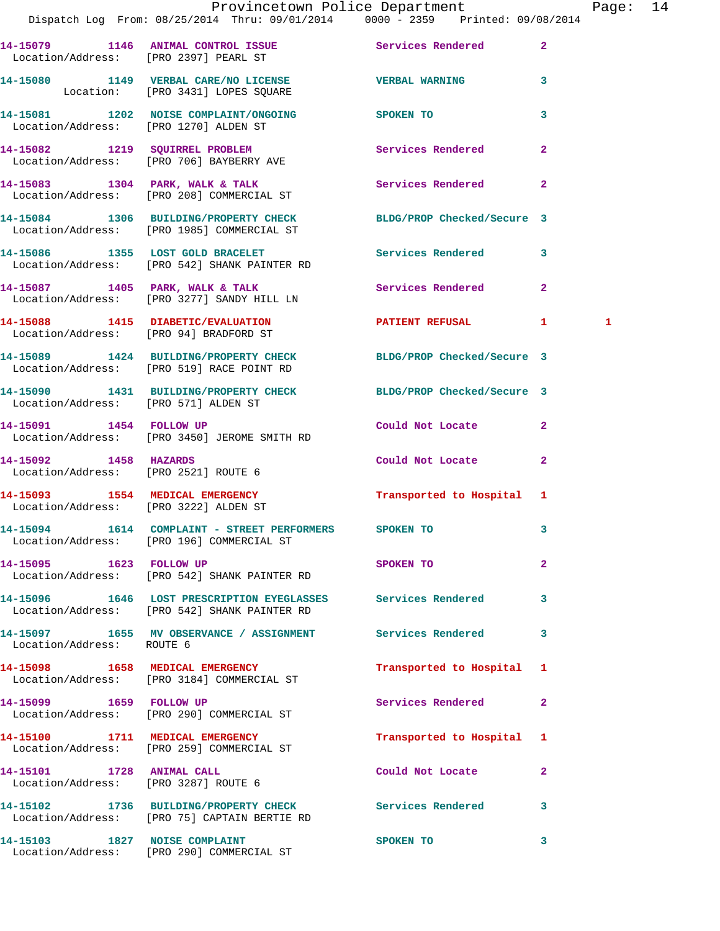|                                       | Provincetown Police Department                                                                                 |                                                                                                                                                                                                                                |                         | Page: 14     |  |
|---------------------------------------|----------------------------------------------------------------------------------------------------------------|--------------------------------------------------------------------------------------------------------------------------------------------------------------------------------------------------------------------------------|-------------------------|--------------|--|
|                                       | 14-15079 1146 ANIMAL CONTROL ISSUE Services Rendered 2<br>Location/Address: [PRO 2397] PEARL ST                |                                                                                                                                                                                                                                |                         |              |  |
|                                       | 14-15080 1149 VERBAL CARE/NO LICENSE WERBAL WARNING 3<br>Location: [PRO 3431] LOPES SQUARE                     |                                                                                                                                                                                                                                |                         |              |  |
| Location/Address: [PRO 1270] ALDEN ST | 14-15081 1202 NOISE COMPLAINT/ONGOING SPOKEN TO                                                                |                                                                                                                                                                                                                                | $\mathbf{3}$            |              |  |
|                                       | 14-15082 1219 SQUIRREL PROBLEM Services Rendered 2<br>Location/Address: [PRO 706] BAYBERRY AVE                 |                                                                                                                                                                                                                                |                         |              |  |
|                                       | 14-15083 1304 PARK, WALK & TALK 1988 Services Rendered 2<br>Location/Address: [PRO 208] COMMERCIAL ST          |                                                                                                                                                                                                                                |                         |              |  |
|                                       | 14-15084 1306 BUILDING/PROPERTY CHECK BLDG/PROP Checked/Secure 3<br>Location/Address: [PRO 1985] COMMERCIAL ST |                                                                                                                                                                                                                                |                         |              |  |
|                                       | 14-15086 1355 LOST GOLD BRACELET<br>Location/Address: [PRO 542] SHANK PAINTER RD                               | Services Rendered 3                                                                                                                                                                                                            |                         |              |  |
|                                       | 14-15087 1405 PARK, WALK & TALK (Services Rendered 2)<br>Location/Address: [PRO 3277] SANDY HILL LN            |                                                                                                                                                                                                                                |                         |              |  |
|                                       | 14-15088 1415 DIABETIC/EVALUATION<br>Location/Address: [PRO 94] BRADFORD ST                                    | PATIENT REFUSAL 1                                                                                                                                                                                                              |                         | $\mathbf{1}$ |  |
|                                       | 14-15089 1424 BUILDING/PROPERTY CHECK BLDG/PROP Checked/Secure 3<br>Location/Address: [PRO 519] RACE POINT RD  |                                                                                                                                                                                                                                |                         |              |  |
| Location/Address: [PRO 571] ALDEN ST  | 14-15090 1431 BUILDING/PROPERTY CHECK BLDG/PROP Checked/Secure 3                                               |                                                                                                                                                                                                                                |                         |              |  |
|                                       | 14-15091 1454 FOLLOW UP<br>Location/Address: [PRO 3450] JEROME SMITH RD                                        | Could Not Locate 2                                                                                                                                                                                                             |                         |              |  |
| 14-15092 1458 HAZARDS                 | Location/Address: [PRO 2521] ROUTE 6                                                                           | Could Not Locate 2                                                                                                                                                                                                             |                         |              |  |
| Location/Address: [PRO 3222] ALDEN ST | 14-15093 1554 MEDICAL EMERGENCY                                                                                | Transported to Hospital 1                                                                                                                                                                                                      |                         |              |  |
|                                       | 14-15094 1614 COMPLAINT - STREET PERFORMERS<br>Location/Address: [PRO 196] COMMERCIAL ST                       | SPOKEN TO                                                                                                                                                                                                                      | $\overline{\mathbf{3}}$ |              |  |
| 14-15095 1623 FOLLOW UP               | Location/Address: [PRO 542] SHANK PAINTER RD                                                                   | SPOKEN TO                                                                                                                                                                                                                      | $\overline{2}$          |              |  |
|                                       | 14-15096 1646 LOST PRESCRIPTION EYEGLASSES Services Rendered 3<br>Location/Address: [PRO 542] SHANK PAINTER RD |                                                                                                                                                                                                                                |                         |              |  |
| Location/Address: ROUTE 6             | 14-15097 1655 MV OBSERVANCE / ASSIGNMENT Services Rendered 3                                                   |                                                                                                                                                                                                                                |                         |              |  |
|                                       | 14-15098 1658 MEDICAL EMERGENCY<br>Location/Address: [PRO 3184] COMMERCIAL ST                                  | Transported to Hospital 1                                                                                                                                                                                                      |                         |              |  |
|                                       | 14-15099    1659    FOLLOW UP<br>Location/Address: [PRO 290] COMMERCIAL ST                                     | Services Rendered                                                                                                                                                                                                              | $\mathbf{2}$            |              |  |
|                                       | 14-15100 1711 MEDICAL EMERGENCY<br>Location/Address: [PRO 259] COMMERCIAL ST                                   | Transported to Hospital 1                                                                                                                                                                                                      |                         |              |  |
|                                       | 14-15101 1728 ANIMAL CALL<br>Location/Address: [PRO 3287] ROUTE 6                                              | Could Not Locate                                                                                                                                                                                                               | $\mathbf{2}$            |              |  |
|                                       | 14-15102 1736 BUILDING/PROPERTY CHECK Services Rendered 3<br>Location/Address: [PRO 75] CAPTAIN BERTIE RD      |                                                                                                                                                                                                                                |                         |              |  |
|                                       | 14-15103 1827 NOISE COMPLAINT                                                                                  | SPOKEN TO AND TO A REAL PROPERTY OF THE SPOKEN OF THE STATE OF THE SPOKEN OF THE SPOKEN OF THE SPOKEN OF THE SPOKEN OF THE SPOKEN OF THE SPOKEN OF THE SPOKEN OF THE SPOKEN OF THE SPOKEN OF THE SPOKEN OF THE SPOKEN OF THE S | 3                       |              |  |

Location/Address: [PRO 290] COMMERCIAL ST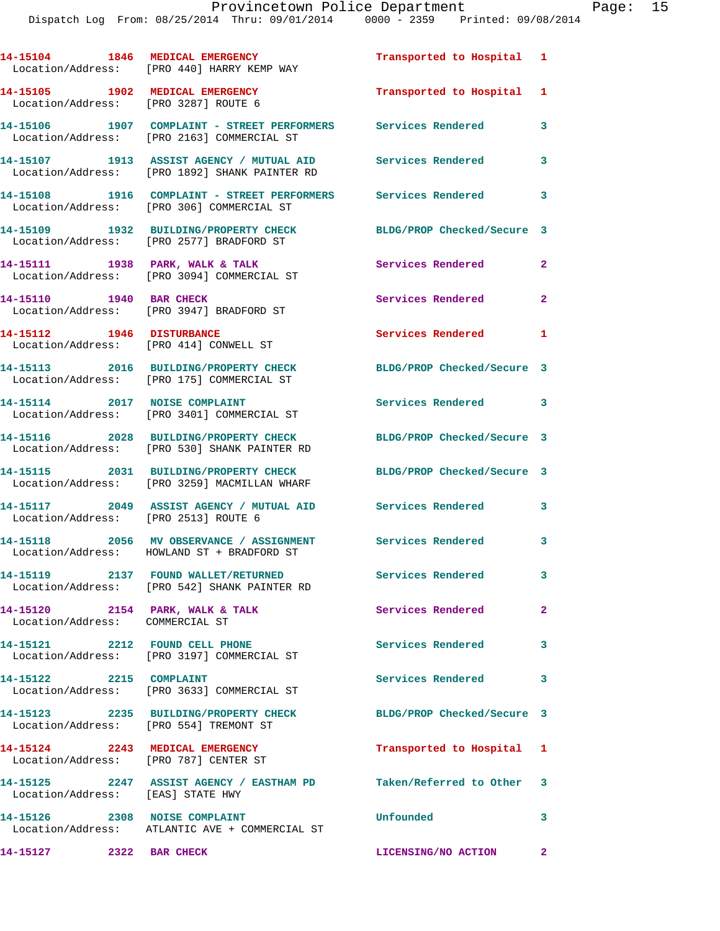|                                                                          | 14-15104 1846 MEDICAL EMERGENCY<br>Location/Address: [PRO 440] HARRY KEMP WAY                               | Transported to Hospital 1  |                |
|--------------------------------------------------------------------------|-------------------------------------------------------------------------------------------------------------|----------------------------|----------------|
| 14-15105 1902 MEDICAL EMERGENCY<br>Location/Address: [PRO 3287] ROUTE 6  |                                                                                                             | Transported to Hospital 1  |                |
|                                                                          | 14-15106 1907 COMPLAINT - STREET PERFORMERS Services Rendered<br>Location/Address: [PRO 2163] COMMERCIAL ST |                            | 3              |
|                                                                          | 14-15107 1913 ASSIST AGENCY / MUTUAL AID Services Rendered<br>Location/Address: [PRO 1892] SHANK PAINTER RD |                            | 3              |
|                                                                          | 14-15108 1916 COMPLAINT - STREET PERFORMERS Services Rendered<br>Location/Address: [PRO 306] COMMERCIAL ST  |                            | 3              |
|                                                                          | 14-15109 1932 BUILDING/PROPERTY CHECK<br>Location/Address: [PRO 2577] BRADFORD ST                           | BLDG/PROP Checked/Secure 3 |                |
|                                                                          | 14-15111 1938 PARK, WALK & TALK<br>Location/Address: [PRO 3094] COMMERCIAL ST                               | Services Rendered          | $\overline{2}$ |
| 14-15110 1940 BAR CHECK                                                  | Location/Address: [PRO 3947] BRADFORD ST                                                                    | Services Rendered          | $\mathbf{2}$   |
| 14-15112 1946 DISTURBANCE<br>Location/Address: [PRO 414] CONWELL ST      |                                                                                                             | Services Rendered          | $\mathbf{1}$   |
|                                                                          | 14-15113 2016 BUILDING/PROPERTY CHECK                                                                       | BLDG/PROP Checked/Secure 3 |                |
|                                                                          | Location/Address: [PRO 175] COMMERCIAL ST<br>14-15114 2017 NOISE COMPLAINT                                  | Services Rendered 3        |                |
|                                                                          | Location/Address: [PRO 3401] COMMERCIAL ST<br>14-15116 2028 BUILDING/PROPERTY CHECK                         | BLDG/PROP Checked/Secure 3 |                |
|                                                                          | Location/Address: [PRO 530] SHANK PAINTER RD<br>14-15115 2031 BUILDING/PROPERTY CHECK                       | BLDG/PROP Checked/Secure 3 |                |
|                                                                          | Location/Address: [PRO 3259] MACMILLAN WHARF                                                                |                            |                |
| Location/Address: [PRO 2513] ROUTE 6                                     | 14-15117 2049 ASSIST AGENCY / MUTUAL AID                                                                    | <b>Services Rendered</b>   | 3              |
|                                                                          | 14-15118 2056 MV OBSERVANCE / ASSIGNMENT<br>Location/Address: HOWLAND ST + BRADFORD ST                      | Services Rendered 3        |                |
|                                                                          | 14-15119 2137 FOUND WALLET/RETURNED<br>Location/Address: [PRO 542] SHANK PAINTER RD                         | Services Rendered          | 3              |
| 14-15120 2154 PARK, WALK & TALK<br>Location/Address: COMMERCIAL ST       |                                                                                                             | Services Rendered          | $\overline{2}$ |
| 14-15121 2212 FOUND CELL PHONE                                           | Location/Address: [PRO 3197] COMMERCIAL ST                                                                  | <b>Services Rendered</b>   | 3              |
| 14-15122 2215 COMPLAINT                                                  | Location/Address: [PRO 3633] COMMERCIAL ST                                                                  | Services Rendered          | 3              |
| Location/Address: [PRO 554] TREMONT ST                                   | 14-15123 2235 BUILDING/PROPERTY CHECK                                                                       | BLDG/PROP Checked/Secure 3 |                |
| 14-15124 2243 MEDICAL EMERGENCY<br>Location/Address: [PRO 787] CENTER ST |                                                                                                             | Transported to Hospital 1  |                |
| Location/Address: [EAS] STATE HWY                                        | 14-15125 2247 ASSIST AGENCY / EASTHAM PD Taken/Referred to Other 3                                          |                            |                |
| 14-15126 2308 NOISE COMPLAINT                                            | Location/Address: ATLANTIC AVE + COMMERCIAL ST                                                              | Unfounded                  | 3              |
| 14-15127 2322 BAR CHECK                                                  |                                                                                                             | LICENSING/NO ACTION 2      |                |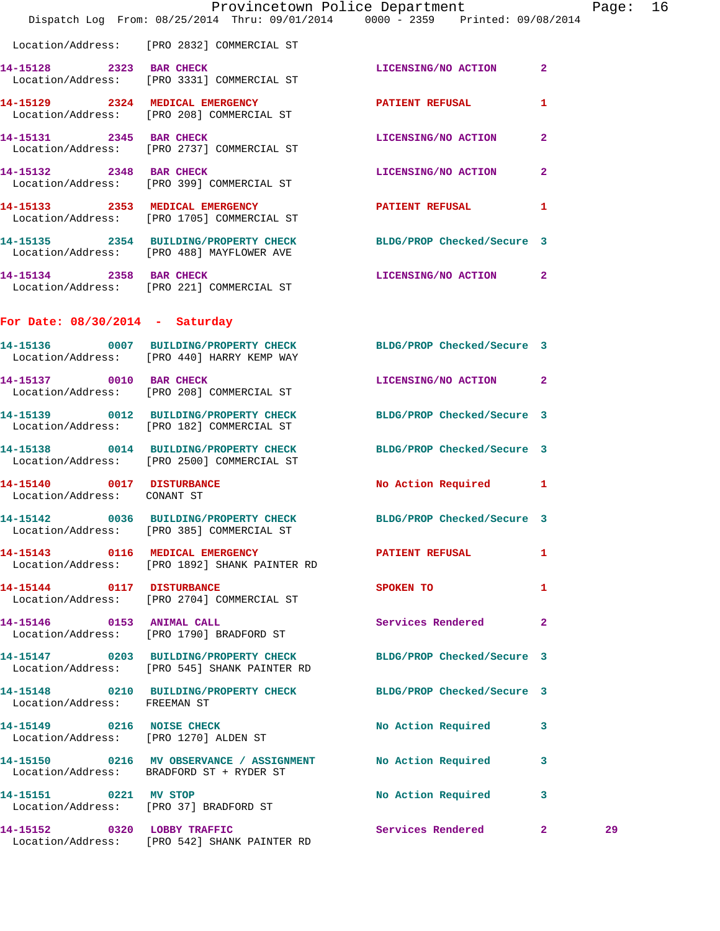|                                                                    | Provincetown Police Department<br>Dispatch Log From: 08/25/2014 Thru: 09/01/2014 0000 - 2359 Printed: 09/08/2014 |                            |              | Page: 16 |  |
|--------------------------------------------------------------------|------------------------------------------------------------------------------------------------------------------|----------------------------|--------------|----------|--|
|                                                                    | Location/Address: [PRO 2832] COMMERCIAL ST                                                                       |                            |              |          |  |
|                                                                    | 14-15128 2323 BAR CHECK<br>Location/Address: [PRO 3331] COMMERCIAL ST                                            | LICENSING/NO ACTION 2      |              |          |  |
|                                                                    | 14-15129 2324 MEDICAL EMERGENCY<br>Location/Address: [PRO 208] COMMERCIAL ST                                     | PATIENT REFUSAL            | $\mathbf{1}$ |          |  |
|                                                                    | 14-15131 2345 BAR CHECK<br>Location/Address: [PRO 2737] COMMERCIAL ST                                            | LICENSING/NO ACTION        | $\mathbf{2}$ |          |  |
| 14-15132 2348 BAR CHECK                                            | Location/Address: [PRO 399] COMMERCIAL ST                                                                        | LICENSING/NO ACTION        | $\mathbf{2}$ |          |  |
|                                                                    | 14-15133 2353 MEDICAL EMERGENCY<br>Location/Address: [PRO 1705] COMMERCIAL ST                                    | PATIENT REFUSAL 1          |              |          |  |
|                                                                    | 14-15135 2354 BUILDING/PROPERTY CHECK BLDG/PROP Checked/Secure 3<br>Location/Address: [PRO 488] MAYFLOWER AVE    |                            |              |          |  |
|                                                                    | 14-15134 2358 BAR CHECK<br>Location/Address: [PRO 221] COMMERCIAL ST                                             | LICENSING/NO ACTION 2      |              |          |  |
| For Date: $08/30/2014$ - Saturday                                  |                                                                                                                  |                            |              |          |  |
|                                                                    | 14-15136 0007 BUILDING/PROPERTY CHECK BLDG/PROP Checked/Secure 3<br>Location/Address: [PRO 440] HARRY KEMP WAY   |                            |              |          |  |
|                                                                    | 14-15137 0010 BAR CHECK<br>Location/Address: [PRO 208] COMMERCIAL ST                                             | LICENSING/NO ACTION 2      |              |          |  |
|                                                                    | 14-15139 0012 BUILDING/PROPERTY CHECK BLDG/PROP Checked/Secure 3<br>Location/Address: [PRO 182] COMMERCIAL ST    |                            |              |          |  |
|                                                                    | 14-15138 0014 BUILDING/PROPERTY CHECK<br>Location/Address: [PRO 2500] COMMERCIAL ST                              | BLDG/PROP Checked/Secure 3 |              |          |  |
| 14-15140 0017 DISTURBANCE<br>Location/Address: CONANT ST           |                                                                                                                  | No Action Required 1       |              |          |  |
|                                                                    | 14-15142 0036 BUILDING/PROPERTY CHECK BLDG/PROP Checked/Secure 3<br>Location/Address: [PRO 385] COMMERCIAL ST    |                            |              |          |  |
|                                                                    | 14-15143 0116 MEDICAL EMERGENCY<br>Location/Address: [PRO 1892] SHANK PAINTER RD                                 | <b>PATIENT REFUSAL</b>     | 1            |          |  |
|                                                                    | 14-15144 0117 DISTURBANCE<br>Location/Address: [PRO 2704] COMMERCIAL ST                                          | SPOKEN TO                  | $\mathbf{1}$ |          |  |
|                                                                    | 14-15146 0153 ANIMAL CALL<br>Location/Address: [PRO 1790] BRADFORD ST                                            | Services Rendered 2        |              |          |  |
|                                                                    | 14-15147 0203 BUILDING/PROPERTY CHECK<br>Location/Address: [PRO 545] SHANK PAINTER RD                            | BLDG/PROP Checked/Secure 3 |              |          |  |
| Location/Address: FREEMAN ST                                       | 14-15148 0210 BUILDING/PROPERTY CHECK BLDG/PROP Checked/Secure 3                                                 |                            |              |          |  |
| 14-15149 0216 NOISE CHECK<br>Location/Address: [PRO 1270] ALDEN ST |                                                                                                                  | No Action Required 3       |              |          |  |
|                                                                    | 14-15150 0216 MV OBSERVANCE / ASSIGNMENT No Action Required 3<br>Location/Address: BRADFORD ST + RYDER ST        |                            |              |          |  |
|                                                                    | 14-15151 0221 MV STOP<br>Location/Address: [PRO 37] BRADFORD ST                                                  | No Action Required         | 3            |          |  |
| 14-15152 0320 LOBBY TRAFFIC                                        | Location/Address: [PRO 542] SHANK PAINTER RD                                                                     | Services Rendered 2        |              | 29       |  |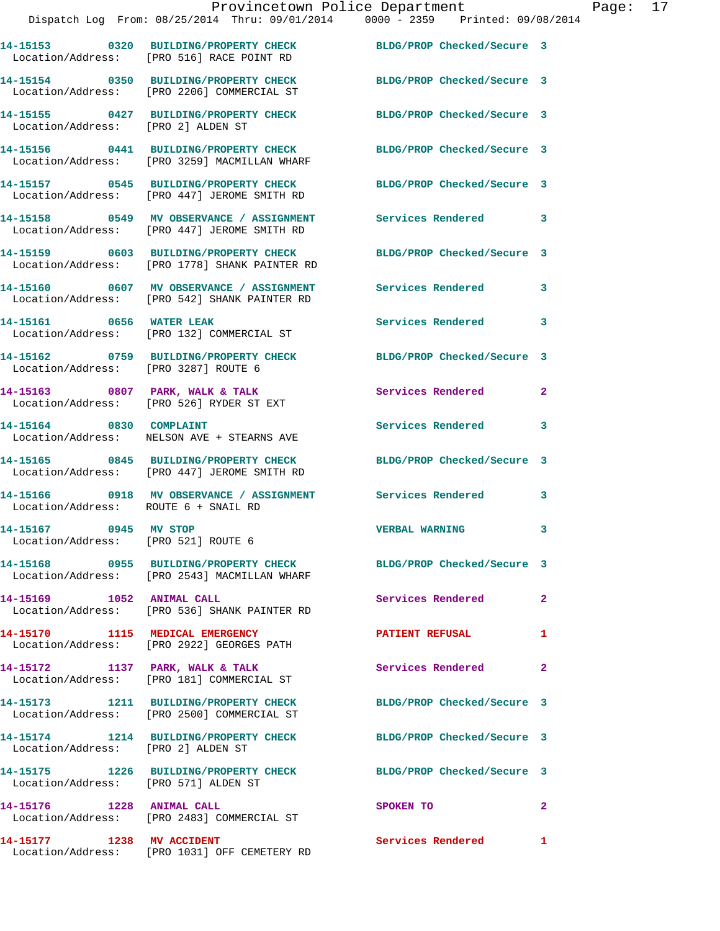|                                                              |                                                                                                                   | Provincetown Police Department | Page: 17     |  |
|--------------------------------------------------------------|-------------------------------------------------------------------------------------------------------------------|--------------------------------|--------------|--|
|                                                              | Dispatch Log From: 08/25/2014 Thru: 09/01/2014 0000 - 2359 Printed: 09/08/2014                                    |                                |              |  |
|                                                              | 14-15153 0320 BUILDING/PROPERTY CHECK BLDG/PROP Checked/Secure 3<br>Location/Address: [PRO 516] RACE POINT RD     |                                |              |  |
|                                                              | 14-15154 0350 BUILDING/PROPERTY CHECK BLDG/PROP Checked/Secure 3<br>Location/Address: [PRO 2206] COMMERCIAL ST    |                                |              |  |
| Location/Address: [PRO 2] ALDEN ST                           | 14-15155 0427 BUILDING/PROPERTY CHECK BLDG/PROP Checked/Secure 3                                                  |                                |              |  |
|                                                              | 14-15156 0441 BUILDING/PROPERTY CHECK<br>Location/Address: [PRO 3259] MACMILLAN WHARF                             | BLDG/PROP Checked/Secure 3     |              |  |
|                                                              | 14-15157 0545 BUILDING/PROPERTY CHECK BLDG/PROP Checked/Secure 3<br>Location/Address: [PRO 447] JEROME SMITH RD   |                                |              |  |
|                                                              |                                                                                                                   |                                |              |  |
|                                                              | 14-15159 0603 BUILDING/PROPERTY CHECK BLDG/PROP Checked/Secure 3<br>Location/Address: [PRO 1778] SHANK PAINTER RD |                                |              |  |
|                                                              | 14-15160 0607 MV OBSERVANCE / ASSIGNMENT Services Rendered 3<br>Location/Address: [PRO 542] SHANK PAINTER RD      |                                |              |  |
|                                                              | 14-15161 0656 WATER LEAK<br>Location/Address: [PRO 132] COMMERCIAL ST                                             | Services Rendered 3            |              |  |
| Location/Address: [PRO 3287] ROUTE 6                         | 14-15162 0759 BUILDING/PROPERTY CHECK BLDG/PROP Checked/Secure 3                                                  |                                |              |  |
|                                                              | 14-15163 0807 PARK, WALK & TALK 3 Services Rendered 2<br>Location/Address: [PRO 526] RYDER ST EXT                 |                                |              |  |
| 14-15164 0830 COMPLAINT                                      | Location/Address: NELSON AVE + STEARNS AVE                                                                        | Services Rendered 3            |              |  |
|                                                              | 14-15165 0845 BUILDING/PROPERTY CHECK BLDG/PROP Checked/Secure 3<br>Location/Address: [PRO 447] JEROME SMITH RD   |                                |              |  |
|                                                              | 14-15166 0918 MV OBSERVANCE / ASSIGNMENT Services Rendered 3<br>Location/Address: ROUTE 6 + SNAIL RD              |                                |              |  |
| 14-15167 0945 MV STOP<br>Location/Address: [PRO 521] ROUTE 6 |                                                                                                                   | <b>VERBAL WARNING</b>          | 3            |  |
|                                                              | 14-15168 0955 BUILDING/PROPERTY CHECK<br>Location/Address: [PRO 2543] MACMILLAN WHARF                             | BLDG/PROP Checked/Secure 3     |              |  |
|                                                              | Location/Address: [PRO 536] SHANK PAINTER RD                                                                      | <b>Services Rendered</b>       | $\mathbf{2}$ |  |
|                                                              | 14-15170 1115 MEDICAL EMERGENCY<br>Location/Address: [PRO 2922] GEORGES PATH                                      | <b>PATIENT REFUSAL</b>         | 1            |  |

14-15172 1137 PARK, WALK & TALK **Services Rendered** 2 Location/Address: [PRO 181] COMMERCIAL ST

Location/Address: [PRO 2] ALDEN ST

**14-15173 1211 BUILDING/PROPERTY CHECK BLDG/PROP Checked/Secure 3**  Location/Address: [PRO 2500] COMMERCIAL ST

**14-15174 1214 BUILDING/PROPERTY CHECK BLDG/PROP Checked/Secure 3** 

**14-15175 1226 BUILDING/PROPERTY CHECK BLDG/PROP Checked/Secure 3**  Location/Address: [PRO 571] ALDEN ST

Location/Address: [PRO 2483] COMMERCIAL ST

**14-15177 1238 MV ACCIDENT Services Rendered 1**  Location/Address: [PRO 1031] OFF CEMETERY RD

**14-15176 1228 ANIMAL CALL SPOKEN TO 2**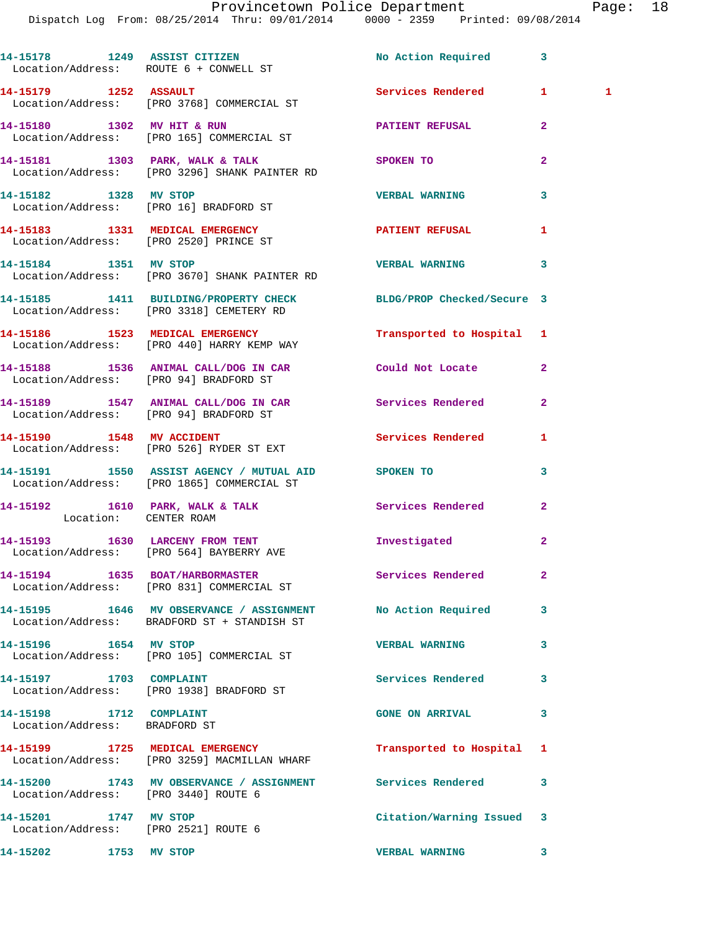Dispatch Log From: 08/25/2014 Thru: 09/01/2014 0000 - 2359 Printed: 09/08/2014 14-15178 1249 ASSIST CITIZEN No Action Required 3 Location/Address: ROUTE 6 + CONWELL ST

**14-15179 1252 ASSAULT Services Rendered 1 1**  Location/Address: [PRO 3768] COMMERCIAL ST **14-15180 1302 MV HIT & RUN PATIENT REFUSAL 2**  Location/Address: [PRO 165] COMMERCIAL ST **14-15181 1303 PARK, WALK & TALK SPOKEN TO 2**  Location/Address: [PRO 3296] SHANK PAINTER RD **14-15182 1328 MV STOP VERBAL WARNING 3**  Location/Address: [PRO 16] BRADFORD ST 14-15183 1331 MEDICAL EMERGENCY PATIENT REFUSAL 1 Location/Address: [PRO 2520] PRINCE ST **14-15184 1351 MV STOP VERBAL WARNING 3**  Location/Address: [PRO 3670] SHANK PAINTER RD **14-15185 1411 BUILDING/PROPERTY CHECK BLDG/PROP Checked/Secure 3**  Location/Address: [PRO 3318] CEMETERY RD **14-15186 1523 MEDICAL EMERGENCY Transported to Hospital 1**  Location/Address: [PRO 440] HARRY KEMP WAY **14-15188 1536 ANIMAL CALL/DOG IN CAR Could Not Locate 2**  Location/Address: [PRO 94] BRADFORD ST

**14-15189 1547 ANIMAL CALL/DOG IN CAR Services Rendered 2**  Location/Address: [PRO 94] BRADFORD ST

14-15192 1610 PARK, WALK & TALK Services Rendered 2

**14-15193 1630 LARCENY FROM TENT Investigated 2**  Location/Address: [PRO 564] BAYBERRY AVE

**14-15194 1635 BOAT/HARBORMASTER Services Rendered 2**  Location/Address: [PRO 831] COMMERCIAL ST

**14-15195 1646 MV OBSERVANCE / ASSIGNMENT No Action Required 3**  Location/Address: BRADFORD ST + STANDISH ST **14-15196 1654 MV STOP VERBAL WARNING 3** 

**14-15197 1703 COMPLAINT Services Rendered 3** 

Location/Address: BRADFORD ST

**14-15199 1725 MEDICAL EMERGENCY Transported to Hospital 1**  Location/Address: [PRO 3259] MACMILLAN WHARF

Location/Address: [PRO 3440] ROUTE 6

Location/Address: [PRO 2521] ROUTE 6

**14-15202 1753 MV STOP VERBAL WARNING 3** 

**14-15190 1548 MV ACCIDENT Services Rendered 1**  Location/Address: [PRO 526] RYDER ST EXT

**14-15191 1550 ASSIST AGENCY / MUTUAL AID SPOKEN TO 3**  Location/Address: [PRO 1865] COMMERCIAL ST

Location: CENTER ROAM

Location/Address: [PRO 105] COMMERCIAL ST

Location/Address: [PRO 1938] BRADFORD ST

**14-15198 1712 COMPLAINT GONE ON ARRIVAL 3** 

**14-15200 1743 MV OBSERVANCE / ASSIGNMENT Services Rendered 3** 

**14-15201 1747 MV STOP Citation/Warning Issued 3**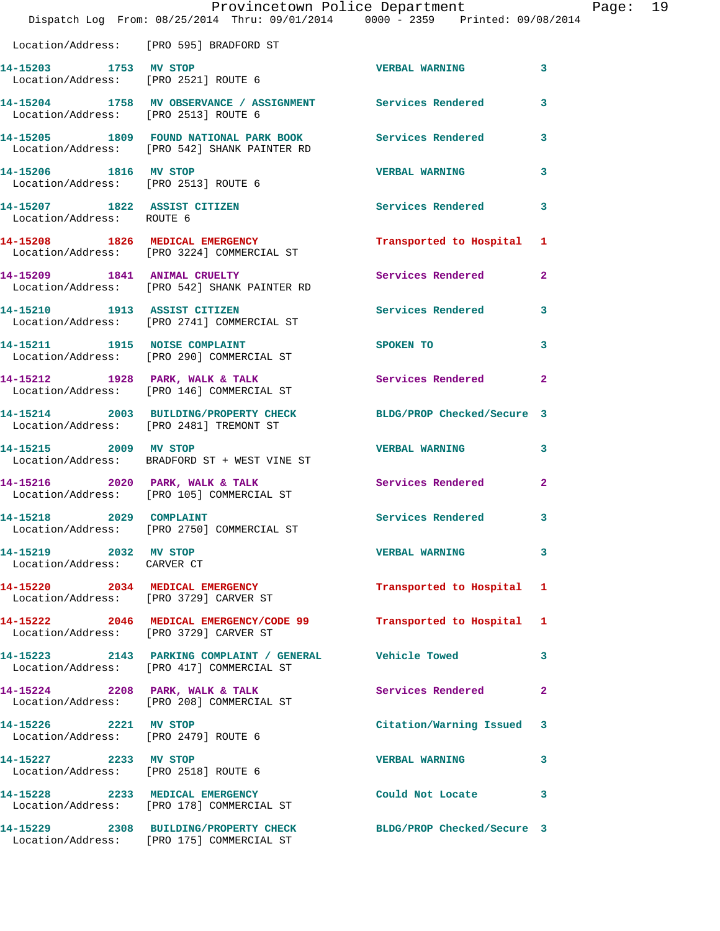|                                                               | Provincetown Police Department<br>Dispatch Log From: 08/25/2014 Thru: 09/01/2014 0000 - 2359 Printed: 09/08/2014 |                          |              |
|---------------------------------------------------------------|------------------------------------------------------------------------------------------------------------------|--------------------------|--------------|
| Location/Address: [PRO 595] BRADFORD ST                       |                                                                                                                  |                          |              |
| 14-15203 1753 MV STOP<br>Location/Address: [PRO 2521] ROUTE 6 |                                                                                                                  | <b>VERBAL WARNING</b>    | 3            |
| Location/Address: [PRO 2513] ROUTE 6                          | 14-15204 1758 MV OBSERVANCE / ASSIGNMENT Services Rendered                                                       |                          | 3            |
|                                                               | 14-15205 1809 FOUND NATIONAL PARK BOOK Services Rendered<br>Location/Address: [PRO 542] SHANK PAINTER RD         |                          | 3            |
| 14-15206 1816 MV STOP<br>Location/Address: [PRO 2513] ROUTE 6 |                                                                                                                  | <b>VERBAL WARNING</b>    | 3            |
| 14-15207 1822 ASSIST CITIZEN<br>Location/Address: ROUTE 6     |                                                                                                                  | <b>Services Rendered</b> | 3            |
|                                                               | 14-15208 1826 MEDICAL EMERGENCY<br>Location/Address: [PRO 3224] COMMERCIAL ST                                    | Transported to Hospital  | 1            |
|                                                               | 14-15209 1841 ANIMAL CRUELTY<br>Location/Address: [PRO 542] SHANK PAINTER RD                                     | Services Rendered        | 2            |
|                                                               | 14-15210 1913 ASSIST CITIZEN<br>Location/Address: [PRO 2741] COMMERCIAL ST                                       | <b>Services Rendered</b> | 3            |
|                                                               | 14-15211 1915 NOISE COMPLAINT<br>Location/Address: [PRO 290] COMMERCIAL ST                                       | SPOKEN TO                | 3            |
|                                                               | 14-15212 1928 PARK, WALK & TALK<br>Location/Address: [PRO 146] COMMERCIAL ST                                     | Services Rendered        | $\mathbf{2}$ |
| Location/Address: [PRO 2481] TREMONT ST                       | 14-15214 2003 BUILDING/PROPERTY CHECK BLDG/PROP Checked/Secure 3                                                 |                          |              |
| 14-15215 2009 MV STOP                                         | Location/Address: BRADFORD ST + WEST VINE ST                                                                     | <b>VERBAL WARNING</b>    | 3            |
|                                                               | 14-15216 2020 PARK, WALK & TALK<br>Location/Address: [PRO 105] COMMERCIAL ST                                     | Services Rendered        | $\mathbf{2}$ |
| 14-15218 2029 COMPLAINT                                       | Location/Address: [PRO 2750] COMMERCIAL ST                                                                       | Services Rendered        | 3            |
| 14-15219 2032 MV STOP<br>Location/Address: CARVER CT          |                                                                                                                  | <b>VERBAL WARNING</b>    | 3            |
|                                                               | 14-15220 2034 MEDICAL EMERGENCY<br>Location/Address: [PRO 3729] CARVER ST                                        | Transported to Hospital  | 1            |
| Location/Address: [PRO 3729] CARVER ST                        | 14-15222 2046 MEDICAL EMERGENCY/CODE 99                                                                          | Transported to Hospital  | 1            |
|                                                               | 14-15223 2143 PARKING COMPLAINT / GENERAL<br>Location/Address: [PRO 417] COMMERCIAL ST                           | <b>Vehicle Towed</b>     | 3            |
|                                                               | 14-15224 2208 PARK, WALK & TALK<br>Location/Address: [PRO 208] COMMERCIAL ST                                     | <b>Services Rendered</b> | $\mathbf{2}$ |
| 14-15226 2221 MV STOP<br>Location/Address: [PRO 2479] ROUTE 6 |                                                                                                                  | Citation/Warning Issued  | 3            |
| 14-15227 2233 MV STOP<br>Location/Address: [PRO 2518] ROUTE 6 |                                                                                                                  | <b>VERBAL WARNING</b>    | 3            |
|                                                               | 14-15228 2233 MEDICAL EMERGENCY<br>Location/Address: [PRO 178] COMMERCIAL ST                                     | Could Not Locate         | 3            |
|                                                               | 14-15229 2308 BUILDING/PROPERTY CHECK BLDG/PROP Checked/Secure 3<br>Location/Address: [PRO 175] COMMERCIAL ST    |                          |              |

Page: 19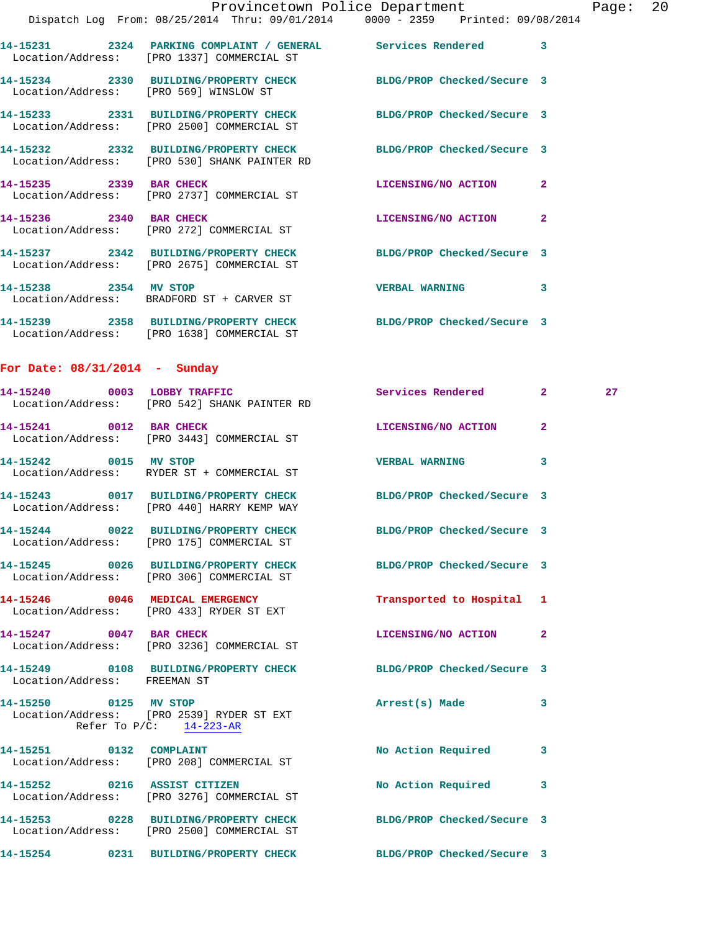|                                 | Dispatch Log From: 08/25/2014 Thru: 09/01/2014 0000 - 2359 Printed: 09/08/2014                                   | Provincetown Police Department |              | Page: 20 |  |
|---------------------------------|------------------------------------------------------------------------------------------------------------------|--------------------------------|--------------|----------|--|
|                                 | 14-15231 2324 PARKING COMPLAINT / GENERAL Services Rendered 3<br>Location/Address: [PRO 1337] COMMERCIAL ST      |                                |              |          |  |
|                                 | 14-15234 2330 BUILDING/PROPERTY CHECK BLDG/PROP Checked/Secure 3<br>Location/Address: [PRO 569] WINSLOW ST       |                                |              |          |  |
|                                 | 14-15233 2331 BUILDING/PROPERTY CHECK BLDG/PROP Checked/Secure 3<br>Location/Address: [PRO 2500] COMMERCIAL ST   |                                |              |          |  |
|                                 | 14-15232 2332 BUILDING/PROPERTY CHECK BLDG/PROP Checked/Secure 3<br>Location/Address: [PRO 530] SHANK PAINTER RD |                                |              |          |  |
|                                 | 14-15235 2339 BAR CHECK<br>Location/Address: [PRO 2737] COMMERCIAL ST                                            | LICENSING/NO ACTION 2          |              |          |  |
|                                 | 14-15236 2340 BAR CHECK<br>Location/Address: [PRO 272] COMMERCIAL ST                                             | LICENSING/NO ACTION            | $\mathbf{2}$ |          |  |
|                                 | 14-15237 2342 BUILDING/PROPERTY CHECK BLDG/PROP Checked/Secure 3<br>Location/Address: [PRO 2675] COMMERCIAL ST   |                                |              |          |  |
| 14-15238 2354 MV STOP           | Location/Address: BRADFORD ST + CARVER ST                                                                        | VERBAL WARNING 3               |              |          |  |
|                                 | 14-15239 2358 BUILDING/PROPERTY CHECK BLDG/PROP Checked/Secure 3<br>Location/Address: [PRO 1638] COMMERCIAL ST   |                                |              |          |  |
| For Date: $08/31/2014$ - Sunday |                                                                                                                  |                                |              |          |  |
|                                 | 14-15240 0003 LOBBY TRAFFIC<br>Location/Address: [PRO 542] SHANK PAINTER RD                                      | Services Rendered 2            |              | 27       |  |
|                                 | 14-15241 0012 BAR CHECK<br>Location/Address: [PRO 3443] COMMERCIAL ST                                            | LICENSING/NO ACTION            | $\mathbf{2}$ |          |  |
| 14-15242 0015 MV STOP           | Location/Address: RYDER ST + COMMERCIAL ST                                                                       | VERBAL WARNING 3               |              |          |  |
|                                 | 14-15243 0017 BUILDING/PROPERTY CHECK BLDG/PROP Checked/Secure 3<br>Location/Address: [PRO 440] HARRY KEMP WAY   |                                |              |          |  |
| 14-15244                        | 0022 BUILDING/PROPERTY CHECK<br>Location/Address: [PRO 175] COMMERCIAL ST                                        | BLDG/PROP Checked/Secure 3     |              |          |  |
|                                 | 14-15245 0026 BUILDING/PROPERTY CHECK<br>Location/Address: [PRO 306] COMMERCIAL ST                               | BLDG/PROP Checked/Secure 3     |              |          |  |
|                                 | 14-15246 0046 MEDICAL EMERGENCY<br>Location/Address: [PRO 433] RYDER ST EXT                                      | Transported to Hospital 1      |              |          |  |
|                                 | 14-15247 0047 BAR CHECK<br>Location/Address: [PRO 3236] COMMERCIAL ST                                            | LICENSING/NO ACTION            | $\mathbf{2}$ |          |  |
| Location/Address: FREEMAN ST    | 14-15249 0108 BUILDING/PROPERTY CHECK BLDG/PROP Checked/Secure 3                                                 |                                |              |          |  |
| 14-15250 0125 MV STOP           | Location/Address: [PRO 2539] RYDER ST EXT<br>Refer To $P/C$ : 14-223-AR                                          | Arrest(s) Made                 | 3            |          |  |
| 14-15251 0132 COMPLAINT         | Location/Address: [PRO 208] COMMERCIAL ST                                                                        | <b>No Action Required</b>      | 3            |          |  |
| 14-15252 0216 ASSIST CITIZEN    |                                                                                                                  | No Action Required             | 3            |          |  |

 Location/Address: [PRO 3276] COMMERCIAL ST **14-15253 0228 BUILDING/PROPERTY CHECK BLDG/PROP Checked/Secure 3**  Location/Address: [PRO 2500] COMMERCIAL ST

**14-15254 0231 BUILDING/PROPERTY CHECK BLDG/PROP Checked/Secure 3**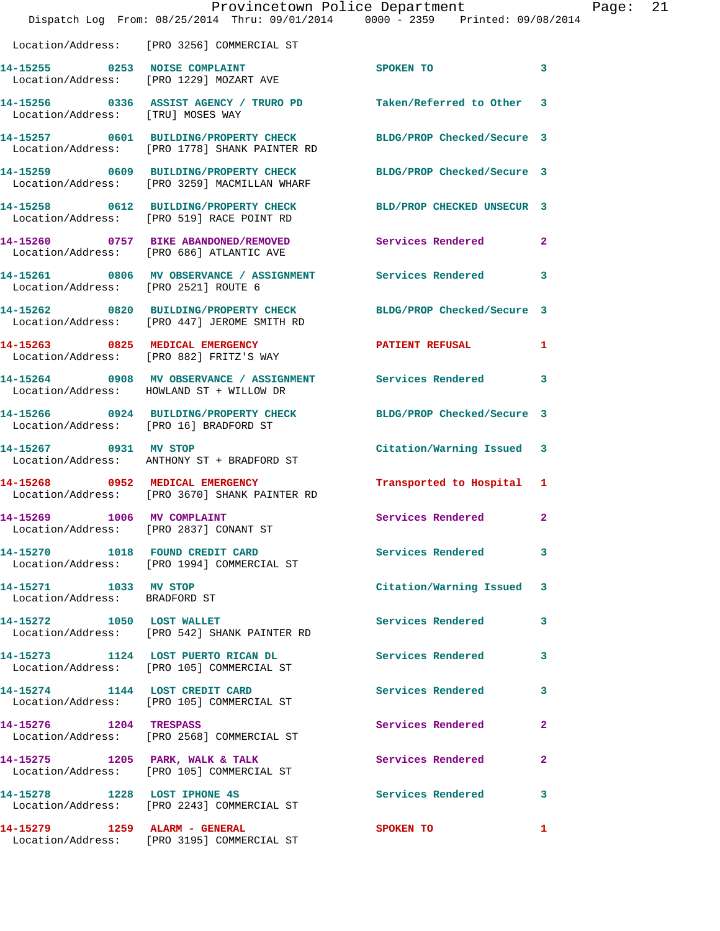|                                                        | Dispatch Log From: 08/25/2014 Thru: 09/01/2014 0000 - 2359 Printed: 09/08/2014                                    |                           |              |  |
|--------------------------------------------------------|-------------------------------------------------------------------------------------------------------------------|---------------------------|--------------|--|
|                                                        | Location/Address: [PRO 3256] COMMERCIAL ST                                                                        |                           |              |  |
|                                                        | 14-15255 0253 NOISE COMPLAINT<br>Location/Address: [PRO 1229] MOZART AVE                                          | <b>SPOKEN TO</b>          | 3            |  |
| Location/Address: [TRU] MOSES WAY                      | 14-15256 0336 ASSIST AGENCY / TRURO PD Taken/Referred to Other 3                                                  |                           |              |  |
|                                                        | 14-15257 0601 BUILDING/PROPERTY CHECK BLDG/PROP Checked/Secure 3<br>Location/Address: [PRO 1778] SHANK PAINTER RD |                           |              |  |
|                                                        | 14-15259 0609 BUILDING/PROPERTY CHECK BLDG/PROP Checked/Secure 3<br>Location/Address: [PRO 3259] MACMILLAN WHARF  |                           |              |  |
|                                                        | 14-15258 0612 BUILDING/PROPERTY CHECK BLD/PROP CHECKED UNSECUR 3<br>Location/Address: [PRO 519] RACE POINT RD     |                           |              |  |
|                                                        | 14-15260 0757 BIKE ABANDONED/REMOVED Services Rendered 2<br>Location/Address: [PRO 686] ATLANTIC AVE              |                           |              |  |
|                                                        | 14-15261 0806 MV OBSERVANCE / ASSIGNMENT Services Rendered 3<br>Location/Address: [PRO 2521] ROUTE 6              |                           |              |  |
|                                                        | 14-15262 0820 BUILDING/PROPERTY CHECK BLDG/PROP Checked/Secure 3<br>Location/Address: [PRO 447] JEROME SMITH RD   |                           |              |  |
|                                                        | 14-15263 0825 MEDICAL EMERGENCY<br>Location/Address: [PRO 882] FRITZ'S WAY                                        | PATIENT REFUSAL 1         |              |  |
|                                                        | 14-15264 0908 MV OBSERVANCE / ASSIGNMENT Services Rendered 3<br>Location/Address: HOWLAND ST + WILLOW DR          |                           |              |  |
|                                                        | 14-15266 0924 BUILDING/PROPERTY CHECK BLDG/PROP Checked/Secure 3<br>Location/Address: [PRO 16] BRADFORD ST        |                           |              |  |
|                                                        | 14-15267 0931 MV STOP<br>Location/Address: ANTHONY ST + BRADFORD ST                                               | Citation/Warning Issued 3 |              |  |
|                                                        | 14-15268 0952 MEDICAL EMERGENCY<br>Location/Address: [PRO 3670] SHANK PAINTER RD                                  | Transported to Hospital 1 |              |  |
| 14-15269 1006 MV COMPLAINT                             | Location/Address: [PRO 2837] CONANT ST                                                                            | Services Rendered 2       |              |  |
|                                                        | 14-15270 1018 FOUND CREDIT CARD<br>Location/Address: [PRO 1994] COMMERCIAL ST                                     | Services Rendered         | 3            |  |
| 14-15271 1033 MV STOP<br>Location/Address: BRADFORD ST |                                                                                                                   | Citation/Warning Issued 3 |              |  |
| 14-15272 1050 LOST WALLET                              | Location/Address: [PRO 542] SHANK PAINTER RD                                                                      | Services Rendered         | 3            |  |
|                                                        | 14-15273 1124 LOST PUERTO RICAN DL<br>Location/Address: [PRO 105] COMMERCIAL ST                                   | Services Rendered         | 3            |  |
|                                                        | 14-15274 1144 LOST CREDIT CARD<br>Location/Address: [PRO 105] COMMERCIAL ST                                       | Services Rendered         | 3            |  |
| 14-15276 1204 TRESPASS                                 | Location/Address: [PRO 2568] COMMERCIAL ST                                                                        | Services Rendered         | 2            |  |
|                                                        | 14-15275 1205 PARK, WALK & TALK<br>Location/Address: [PRO 105] COMMERCIAL ST                                      | <b>Services Rendered</b>  | $\mathbf{2}$ |  |
|                                                        | 14-15278 1228 LOST IPHONE 4S<br>Location/Address: [PRO 2243] COMMERCIAL ST                                        | <b>Services Rendered</b>  | 3            |  |
| 14-15279 1259 ALARM - GENERAL                          | Location/Address: [PRO 3195] COMMERCIAL ST                                                                        | SPOKEN TO                 | $\mathbf{1}$ |  |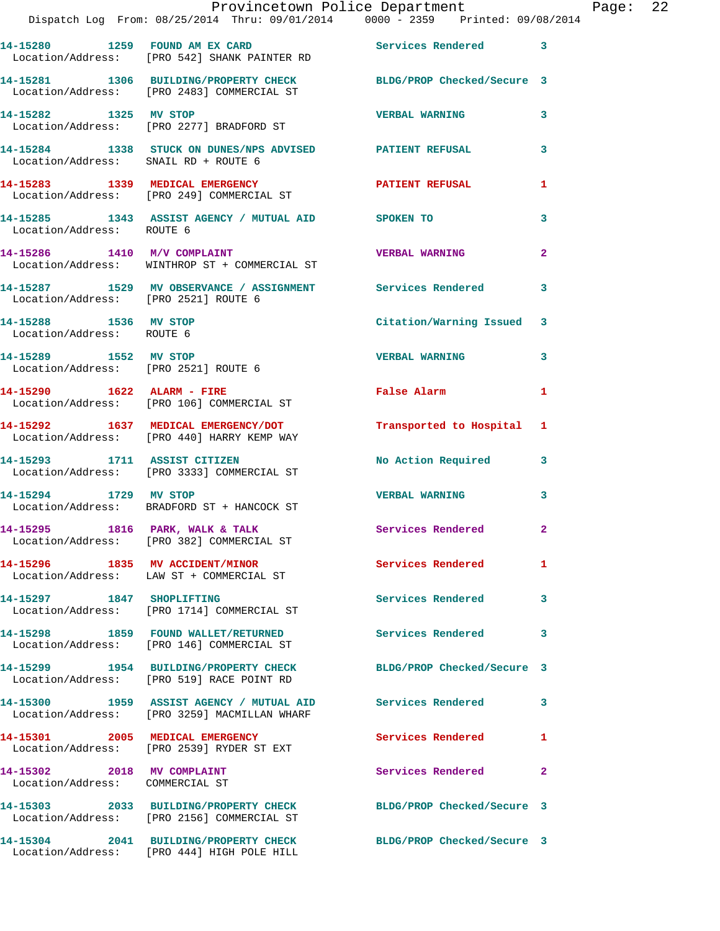|                                                               | Provincetown Police Department<br>Dispatch Log From: 08/25/2014 Thru: 09/01/2014 0000 - 2359 Printed: 09/08/2014 |                            |                |
|---------------------------------------------------------------|------------------------------------------------------------------------------------------------------------------|----------------------------|----------------|
|                                                               | 14-15280 1259 FOUND AM EX CARD<br>Location/Address: [PRO 542] SHANK PAINTER RD                                   | Services Rendered          | 3              |
|                                                               | 14-15281 1306 BUILDING/PROPERTY CHECK BLDG/PROP Checked/Secure 3<br>Location/Address: [PRO 2483] COMMERCIAL ST   |                            |                |
|                                                               | 14-15282 1325 MV STOP<br>Location/Address: [PRO 2277] BRADFORD ST                                                | <b>VERBAL WARNING</b>      | 3              |
| Location/Address: SNAIL RD + ROUTE 6                          | 14-15284 1338 STUCK ON DUNES/NPS ADVISED PATIENT REFUSAL                                                         |                            | 3              |
|                                                               | 14-15283 1339 MEDICAL EMERGENCY<br>Location/Address: [PRO 249] COMMERCIAL ST                                     | <b>PATIENT REFUSAL</b>     | 1              |
| Location/Address: ROUTE 6                                     | 14-15285 1343 ASSIST AGENCY / MUTUAL AID SPOKEN TO                                                               |                            | 3              |
| 14-15286 1410 M/V COMPLAINT                                   | Location/Address: WINTHROP ST + COMMERCIAL ST                                                                    | <b>VERBAL WARNING</b>      | $\overline{2}$ |
| Location/Address: [PRO 2521] ROUTE 6                          | 14-15287 1529 MV OBSERVANCE / ASSIGNMENT Services Rendered                                                       |                            | 3              |
| 14-15288 1536 MV STOP<br>Location/Address: ROUTE 6            |                                                                                                                  | Citation/Warning Issued    | 3              |
| 14-15289 1552 MV STOP<br>Location/Address: [PRO 2521] ROUTE 6 |                                                                                                                  | <b>VERBAL WARNING</b>      | 3              |
| 14-15290 1622 ALARM - FIRE                                    | Location/Address: [PRO 106] COMMERCIAL ST                                                                        | False Alarm                | 1              |
|                                                               | 14-15292 1637 MEDICAL EMERGENCY/DOT Transported to Hospital<br>Location/Address: [PRO 440] HARRY KEMP WAY        |                            | 1              |
| 14-15293 1711 ASSIST CITIZEN                                  | Location/Address: [PRO 3333] COMMERCIAL ST                                                                       | No Action Required         | 3              |
|                                                               | 14-15294 1729 MV STOP<br>Location/Address: BRADFORD ST + HANCOCK ST                                              | <b>VERBAL WARNING</b>      | 3              |
|                                                               | 14-15295 1816 PARK, WALK & TALK<br>Location/Address: [PRO 382] COMMERCIAL ST                                     | <b>Services Rendered</b>   |                |
|                                                               | 14-15296 1835 MV ACCIDENT/MINOR<br>Location/Address: LAW ST + COMMERCIAL ST                                      | Services Rendered          | 1              |
| 14-15297 1847 SHOPLIFTING                                     | Location/Address: [PRO 1714] COMMERCIAL ST                                                                       | <b>Services Rendered</b>   | 3              |
|                                                               | 14-15298 1859 FOUND WALLET/RETURNED<br>Location/Address: [PRO 146] COMMERCIAL ST                                 | <b>Services Rendered</b>   | 3              |
|                                                               | 14-15299 1954 BUILDING/PROPERTY CHECK<br>Location/Address: [PRO 519] RACE POINT RD                               | BLDG/PROP Checked/Secure 3 |                |
|                                                               | 14-15300 1959 ASSIST AGENCY / MUTUAL AID Services Rendered<br>Location/Address: [PRO 3259] MACMILLAN WHARF       |                            | 3              |
|                                                               | 14-15301 2005 MEDICAL EMERGENCY<br>Location/Address: [PRO 2539] RYDER ST EXT                                     | <b>Services Rendered</b>   | 1              |
| 14-15302 2018 MV COMPLAINT<br>Location/Address: COMMERCIAL ST |                                                                                                                  | Services Rendered          | 2              |
|                                                               | 14-15303 2033 BUILDING/PROPERTY CHECK<br>Location/Address: [PRO 2156] COMMERCIAL ST                              | BLDG/PROP Checked/Secure 3 |                |
|                                                               | 14-15304 2041 BUILDING/PROPERTY CHECK<br>Location/Address: [PRO 444] HIGH POLE HILL                              | BLDG/PROP Checked/Secure 3 |                |

Page:  $22$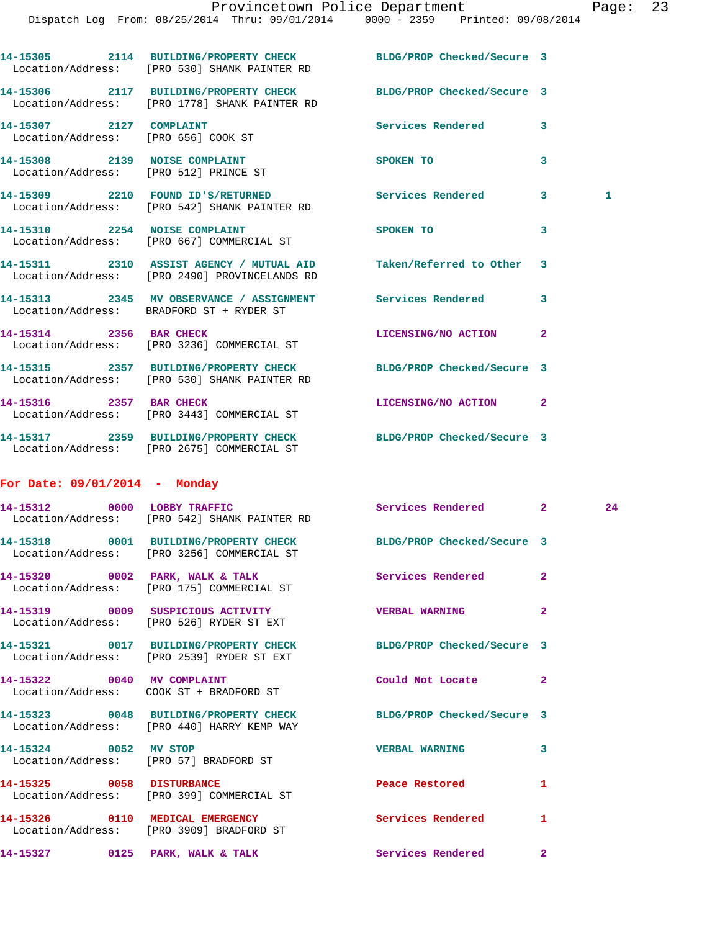Dispatch Log From: 08/25/2014 Thru: 09/01/2014 0000 - 2359 Printed: 09/08/2014 **14-15305 2114 BUILDING/PROPERTY CHECK BLDG/PROP Checked/Secure 3**  Location/Address: [PRO 530] SHANK PAINTER RD **14-15306 2117 BUILDING/PROPERTY CHECK BLDG/PROP Checked/Secure 3**  Location/Address: [PRO 1778] SHANK PAINTER RD **14-15307 2127 COMPLAINT Services Rendered 3**  Location/Address: [PRO 656] COOK ST **14-15308 2139 NOISE COMPLAINT SPOKEN TO 3**  Location/Address: [PRO 512] PRINCE ST **14-15309 2210 FOUND ID'S/RETURNED Services Rendered 3 1**  Location/Address: [PRO 542] SHANK PAINTER RD **14-15310 2254 NOISE COMPLAINT SPOKEN TO 3**  Location/Address: [PRO 667] COMMERCIAL ST **14-15311 2310 ASSIST AGENCY / MUTUAL AID Taken/Referred to Other 3**  Location/Address: [PRO 2490] PROVINCELANDS RD **14-15313 2345 MV OBSERVANCE / ASSIGNMENT Services Rendered 3**  Location/Address: BRADFORD ST + RYDER ST **14-15314 2356 BAR CHECK LICENSING/NO ACTION 2**  Location/Address: [PRO 3236] COMMERCIAL ST **14-15315 2357 BUILDING/PROPERTY CHECK BLDG/PROP Checked/Secure 3**  Location/Address: [PRO 530] SHANK PAINTER RD **14-15316 2357 BAR CHECK LICENSING/NO ACTION 2**  Location/Address: [PRO 3443] COMMERCIAL ST **14-15317 2359 BUILDING/PROPERTY CHECK BLDG/PROP Checked/Secure 3**  Location/Address: [PRO 2675] COMMERCIAL ST **For Date: 09/01/2014 - Monday** 14-15312 0000 LOBBY TRAFFIC Services Rendered 2 24 Location/Address: [PRO 542] SHANK PAINTER RD **14-15318 0001 BUILDING/PROPERTY CHECK BLDG/PROP Checked/Secure 3**  Location/Address: [PRO 3256] COMMERCIAL ST **14-15320 0002 PARK, WALK & TALK Services Rendered 2**  Location/Address: [PRO 175] COMMERCIAL ST **14-15319 0009 SUSPICIOUS ACTIVITY VERBAL WARNING 2**  Location/Address: [PRO 526] RYDER ST EXT **14-15321 0017 BUILDING/PROPERTY CHECK BLDG/PROP Checked/Secure 3**  Location/Address: [PRO 2539] RYDER ST EXT **14-15322 0040 MV COMPLAINT Could Not Locate 2**  Location/Address: COOK ST + BRADFORD ST **14-15323 0048 BUILDING/PROPERTY CHECK BLDG/PROP Checked/Secure 3**  Location/Address: [PRO 440] HARRY KEMP WAY **14-15324 0052 MV STOP VERBAL WARNING 3**  Location/Address: [PRO 57] BRADFORD ST **14-15325 0058 DISTURBANCE Peace Restored 1**  Location/Address: [PRO 399] COMMERCIAL ST **14-15326 0110 MEDICAL EMERGENCY Services Rendered 1**  Location/Address: [PRO 3909] BRADFORD ST **14-15327 0125 PARK, WALK & TALK Services Rendered 2**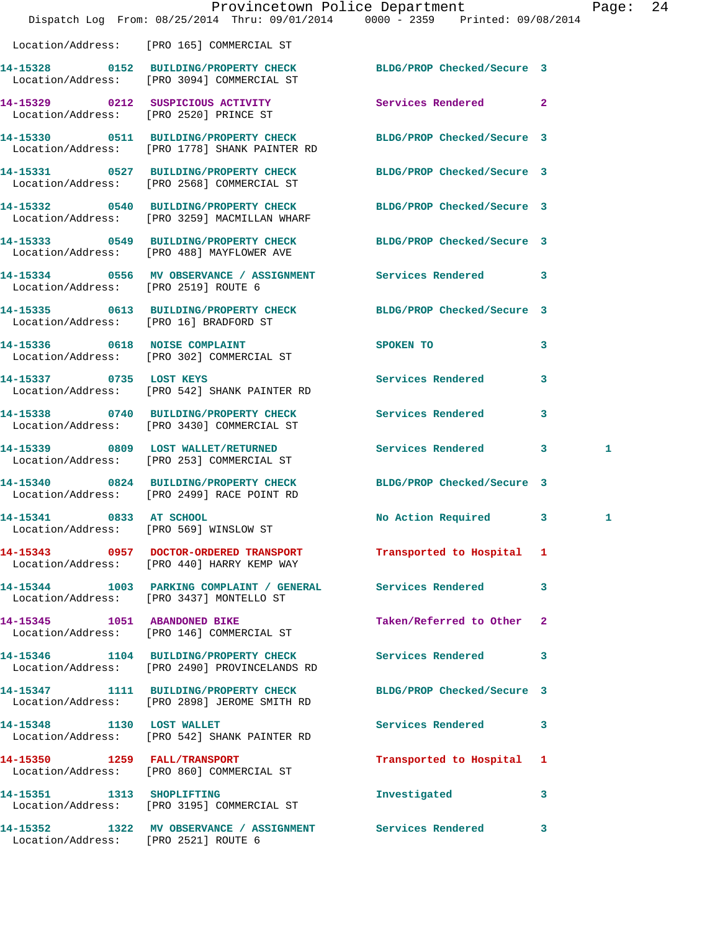|                                      |                                                                                                                   | Provincetown Police Department The Page: 24                                    |              |  |
|--------------------------------------|-------------------------------------------------------------------------------------------------------------------|--------------------------------------------------------------------------------|--------------|--|
|                                      |                                                                                                                   | Dispatch Log From: 08/25/2014 Thru: 09/01/2014 0000 - 2359 Printed: 09/08/2014 |              |  |
|                                      | Location/Address: [PRO 165] COMMERCIAL ST                                                                         |                                                                                |              |  |
|                                      | 14-15328 0152 BUILDING/PROPERTY CHECK BLDG/PROP Checked/Secure 3<br>Location/Address: [PRO 3094] COMMERCIAL ST    |                                                                                |              |  |
|                                      | 14-15329 0212 SUSPICIOUS ACTIVITY<br>Location/Address: [PRO 2520] PRINCE ST                                       | Services Rendered 2                                                            |              |  |
|                                      | 14-15330 0511 BUILDING/PROPERTY CHECK BLDG/PROP Checked/Secure 3<br>Location/Address: [PRO 1778] SHANK PAINTER RD |                                                                                |              |  |
|                                      | 14-15331 0527 BUILDING/PROPERTY CHECK BLDG/PROP Checked/Secure 3<br>Location/Address: [PRO 2568] COMMERCIAL ST    |                                                                                |              |  |
|                                      | 14-15332 0540 BUILDING/PROPERTY CHECK BLDG/PROP Checked/Secure 3<br>Location/Address: [PRO 3259] MACMILLAN WHARF  |                                                                                |              |  |
|                                      | 14-15333 0549 BUILDING/PROPERTY CHECK BLDG/PROP Checked/Secure 3<br>Location/Address: [PRO 488] MAYFLOWER AVE     |                                                                                |              |  |
|                                      | 14-15334 0556 MV OBSERVANCE / ASSIGNMENT Services Rendered 3<br>Location/Address: [PRO 2519] ROUTE 6              |                                                                                |              |  |
|                                      | 14-15335 0613 BUILDING/PROPERTY CHECK BLDG/PROP Checked/Secure 3<br>Location/Address: [PRO 16] BRADFORD ST        |                                                                                |              |  |
|                                      | 14-15336 0618 NOISE COMPLAINT<br>Location/Address: [PRO 302] COMMERCIAL ST                                        | <b>SPOKEN TO</b><br>3                                                          |              |  |
| 14-15337 0735 LOST KEYS              | Location/Address: [PRO 542] SHANK PAINTER RD                                                                      | Services Rendered<br>$\overline{\mathbf{3}}$                                   |              |  |
|                                      | 14-15338 0740 BUILDING/PROPERTY CHECK Services Rendered 3<br>Location/Address: [PRO 3430] COMMERCIAL ST           |                                                                                |              |  |
|                                      | 14-15339 0809 LOST WALLET/RETURNED<br>Location/Address: [PRO 253] COMMERCIAL ST                                   | Services Rendered 3                                                            | 1            |  |
|                                      | 14-15340 0824 BUILDING/PROPERTY CHECK BLDG/PROP Checked/Secure 3<br>Location/Address: [PRO 2499] RACE POINT RD    |                                                                                |              |  |
|                                      | 14-15341 0833 AT SCHOOL<br>Location/Address: [PRO 569] WINSLOW ST                                                 | No Action Required 3                                                           | $\mathbf{1}$ |  |
|                                      | 14-15343 0957 DOCTOR-ORDERED TRANSPORT<br>Location/Address: [PRO 440] HARRY KEMP WAY                              | Transported to Hospital 1                                                      |              |  |
|                                      | 14-15344 1003 PARKING COMPLAINT / GENERAL Services Rendered 3<br>Location/Address: [PRO 3437] MONTELLO ST         |                                                                                |              |  |
|                                      | 14-15345 1051 ABANDONED BIKE<br>Location/Address: [PRO 146] COMMERCIAL ST                                         | Taken/Referred to Other 2                                                      |              |  |
|                                      | 14-15346 1104 BUILDING/PROPERTY CHECK<br>Location/Address: [PRO 2490] PROVINCELANDS RD                            | Services Rendered 3                                                            |              |  |
|                                      | 14-15347 1111 BUILDING/PROPERTY CHECK<br>Location/Address: [PRO 2898] JEROME SMITH RD                             | BLDG/PROP Checked/Secure 3                                                     |              |  |
|                                      | 14-15348 1130 LOST WALLET<br>Location/Address: [PRO 542] SHANK PAINTER RD                                         | Services Rendered<br>$\mathbf{3}$                                              |              |  |
|                                      | 14-15350 1259 FALL/TRANSPORT<br>Location/Address: [PRO 860] COMMERCIAL ST                                         | Transported to Hospital 1                                                      |              |  |
|                                      | 14-15351 1313 SHOPLIFTING<br>Location/Address: [PRO 3195] COMMERCIAL ST                                           | Investigated<br>$\mathbf{3}$                                                   |              |  |
| Location/Address: [PRO 2521] ROUTE 6 | 14-15352 1322 MV OBSERVANCE / ASSIGNMENT Services Rendered 3                                                      |                                                                                |              |  |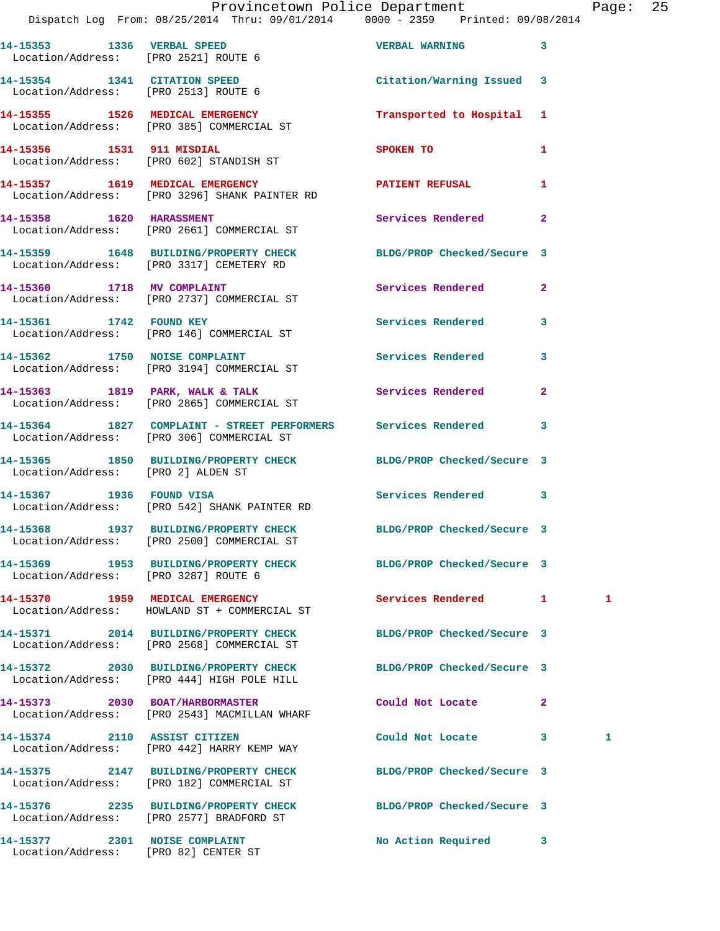|                                      | Provincetown Police Department<br>Dispatch Log From: 08/25/2014 Thru: 09/01/2014 0000 - 2359 Printed: 09/08/2014 |                                           |              | Page: 25 |  |
|--------------------------------------|------------------------------------------------------------------------------------------------------------------|-------------------------------------------|--------------|----------|--|
| Location/Address: [PRO 2521] ROUTE 6 | 14-15353 1336 VERBAL SPEED                                                                                       | <b>VERBAL WARNING</b> 3                   |              |          |  |
|                                      | 14-15354 1341 CITATION SPEED<br>Location/Address: [PRO 2513] ROUTE 6                                             | Citation/Warning Issued 3                 |              |          |  |
|                                      | 14-15355 1526 MEDICAL EMERGENCY<br>Location/Address: [PRO 385] COMMERCIAL ST                                     | Transported to Hospital 1                 |              |          |  |
|                                      | 14-15356 1531 911 MISDIAL<br>Location/Address: [PRO 602] STANDISH ST                                             | SPOKEN TO THE STRIKE STRIKE STRIKE STRIKE | $\mathbf{1}$ |          |  |
|                                      | 14-15357 1619 MEDICAL EMERGENCY<br>Location/Address: [PRO 3296] SHANK PAINTER RD                                 | PATIENT REFUSAL                           | $\mathbf{1}$ |          |  |
|                                      | 14-15358 1620 HARASSMENT<br>Location/Address: [PRO 2661] COMMERCIAL ST                                           | Services Rendered                         | $\mathbf{2}$ |          |  |
|                                      | 14-15359 1648 BUILDING/PROPERTY CHECK BLDG/PROP Checked/Secure 3<br>Location/Address: [PRO 3317] CEMETERY RD     |                                           |              |          |  |
|                                      | 14-15360 1718 MV COMPLAINT<br>Location/Address: [PRO 2737] COMMERCIAL ST                                         | Services Rendered 2                       |              |          |  |
|                                      | 14-15361 1742 FOUND KEY<br>Location/Address: [PRO 146] COMMERCIAL ST                                             | Services Rendered 3                       |              |          |  |
|                                      | 14-15362 1750 NOISE COMPLAINT<br>Location/Address: [PRO 3194] COMMERCIAL ST                                      | Services Rendered 3                       |              |          |  |
|                                      | 14-15363 1819 PARK, WALK & TALK (Services Rendered 2)<br>Location/Address: [PRO 2865] COMMERCIAL ST              |                                           |              |          |  |
|                                      | 14-15364 1827 COMPLAINT - STREET PERFORMERS Services Rendered 3<br>Location/Address: [PRO 306] COMMERCIAL ST     |                                           |              |          |  |
|                                      | 14-15365 1850 BUILDING/PROPERTY CHECK BLDG/PROP Checked/Secure 3<br>Location/Address: [PRO 2] ALDEN ST           |                                           |              |          |  |
|                                      | 14-15367 1936 FOUND VISA<br>Location/Address: [PRO 542] SHANK PAINTER RD                                         | Services Rendered 3                       |              |          |  |
|                                      | 14-15368 1937 BUILDING/PROPERTY CHECK BLDG/PROP Checked/Secure 3<br>Location/Address: [PRO 2500] COMMERCIAL ST   |                                           |              |          |  |
| Location/Address: [PRO 3287] ROUTE 6 | 14-15369 1953 BUILDING/PROPERTY CHECK BLDG/PROP Checked/Secure 3                                                 |                                           |              |          |  |
|                                      | 14-15370 1959 MEDICAL EMERGENCY<br>Location/Address: HOWLAND ST + COMMERCIAL ST                                  | Services Rendered 1                       |              | 1        |  |
|                                      | 14-15371 2014 BUILDING/PROPERTY CHECK<br>Location/Address: [PRO 2568] COMMERCIAL ST                              | BLDG/PROP Checked/Secure 3                |              |          |  |
|                                      | 14-15372 2030 BUILDING/PROPERTY CHECK<br>Location/Address: [PRO 444] HIGH POLE HILL                              | BLDG/PROP Checked/Secure 3                |              |          |  |
|                                      | 14-15373 2030 BOAT/HARBORMASTER<br>Location/Address: [PRO 2543] MACMILLAN WHARF                                  | Could Not Locate                          | $\mathbf{2}$ |          |  |
| 14-15374 2110 ASSIST CITIZEN         | Location/Address: [PRO 442] HARRY KEMP WAY                                                                       | Could Not Locate 3                        |              | 1        |  |
|                                      | 14-15375 2147 BUILDING/PROPERTY CHECK<br>Location/Address: [PRO 182] COMMERCIAL ST                               | BLDG/PROP Checked/Secure 3                |              |          |  |
|                                      | 14-15376 2235 BUILDING/PROPERTY CHECK<br>Location/Address: [PRO 2577] BRADFORD ST                                | BLDG/PROP Checked/Secure 3                |              |          |  |
|                                      | 14-15377 2301 NOISE COMPLAINT                                                                                    | No Action Required 3                      |              |          |  |

Location/Address: [PRO 82] CENTER ST